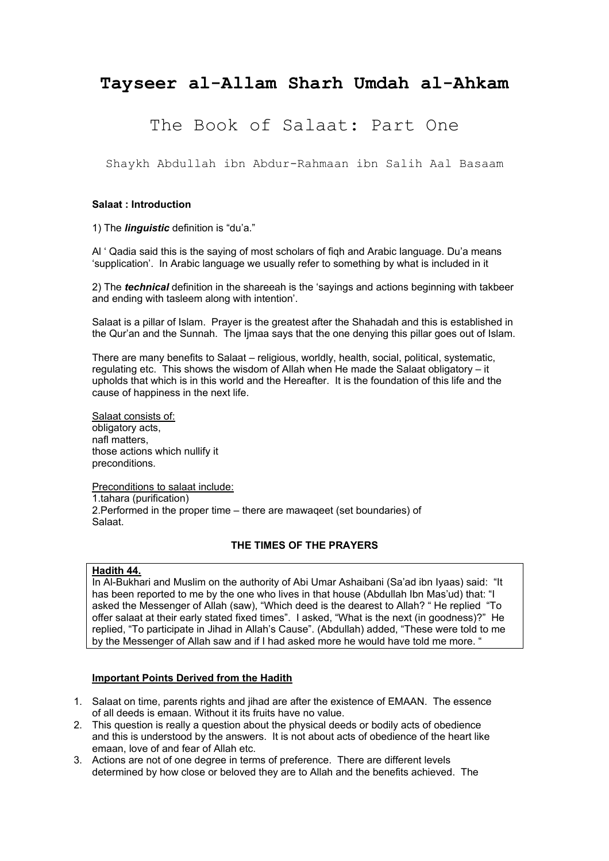# **Tayseer al-Allam Sharh Umdah al-Ahkam**

# The Book of Salaat: Part One

Shaykh Abdullah ibn Abdur-Rahmaan ibn Salih Aal Basaam

## **Salaat : Introduction**

1) The *linguistic* definition is "du'a."

Al ' Qadia said this is the saying of most scholars of fiqh and Arabic language. Du'a means 'supplication'. In Arabic language we usually refer to something by what is included in it

2) The *technical* definition in the shareeah is the 'sayings and actions beginning with takbeer and ending with tasleem along with intention'.

Salaat is a pillar of Islam. Prayer is the greatest after the Shahadah and this is established in the Qur'an and the Sunnah. The Ijmaa says that the one denying this pillar goes out of Islam.

There are many benefits to Salaat – religious, worldly, health, social, political, systematic, regulating etc. This shows the wisdom of Allah when He made the Salaat obligatory – it upholds that which is in this world and the Hereafter. It is the foundation of this life and the cause of happiness in the next life.

Salaat consists of: obligatory acts, nafl matters, those actions which nullify it preconditions.

Preconditions to salaat include: 1.tahara (purification) 2.Performed in the proper time – there are mawaqeet (set boundaries) of Salaat.

# **THE TIMES OF THE PRAYERS**

#### **Hadith 44.**

In Al-Bukhari and Muslim on the authority of Abi Umar Ashaibani (Sa'ad ibn Iyaas) said: "It has been reported to me by the one who lives in that house (Abdullah Ibn Mas'ud) that: "I asked the Messenger of Allah (saw), "Which deed is the dearest to Allah? " He replied "To offer salaat at their early stated fixed times". I asked, "What is the next (in goodness)?" He replied, "To participate in Jihad in Allah's Cause". (Abdullah) added, "These were told to me by the Messenger of Allah saw and if I had asked more he would have told me more. "

- 1. Salaat on time, parents rights and jihad are after the existence of EMAAN. The essence of all deeds is emaan. Without it its fruits have no value.
- 2. This question is really a question about the physical deeds or bodily acts of obedience and this is understood by the answers. It is not about acts of obedience of the heart like emaan, love of and fear of Allah etc.
- 3. Actions are not of one degree in terms of preference. There are different levels determined by how close or beloved they are to Allah and the benefits achieved. The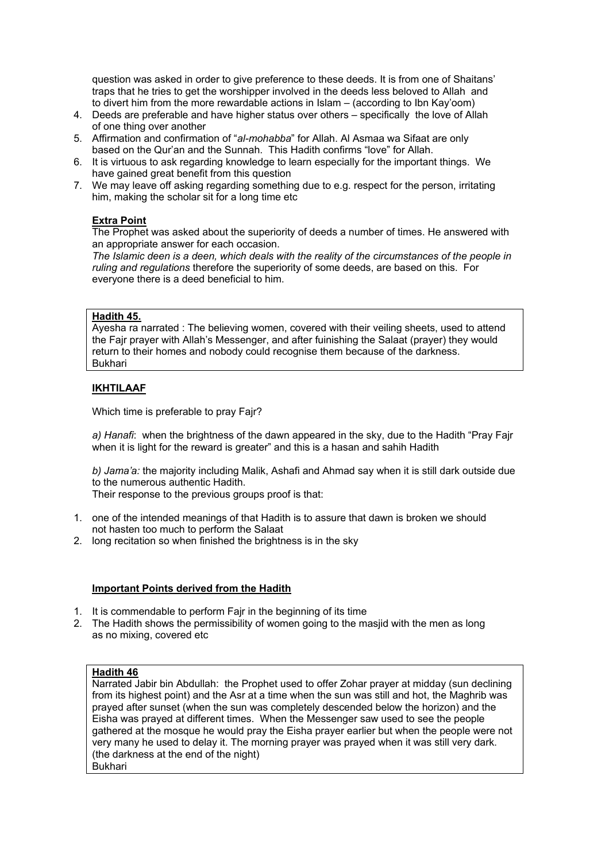question was asked in order to give preference to these deeds. It is from one of Shaitans' traps that he tries to get the worshipper involved in the deeds less beloved to Allah and to divert him from the more rewardable actions in Islam – (according to Ibn Kay'oom)

- 4. Deeds are preferable and have higher status over others specifically the love of Allah of one thing over another
- 5. Affirmation and confirmation of "*al-mohabba*" for Allah. Al Asmaa wa Sifaat are only based on the Qur'an and the Sunnah. This Hadith confirms "love" for Allah.
- 6. It is virtuous to ask regarding knowledge to learn especially for the important things. We have gained great benefit from this question
- 7. We may leave off asking regarding something due to e.g. respect for the person, irritating him, making the scholar sit for a long time etc

# **Extra Point**

The Prophet was asked about the superiority of deeds a number of times. He answered with an appropriate answer for each occasion.

*The Islamic deen is a deen, which deals with the reality of the circumstances of the people in ruling and regulations* therefore the superiority of some deeds, are based on this. For everyone there is a deed beneficial to him.

# **Hadith 45.**

Ayesha ra narrated : The believing women, covered with their veiling sheets, used to attend the Fajr prayer with Allah's Messenger, and after fuinishing the Salaat (prayer) they would return to their homes and nobody could recognise them because of the darkness. Bukhari

# **IKHTILAAF**

Which time is preferable to pray Fajr?

*a) Hanafi*: when the brightness of the dawn appeared in the sky, due to the Hadith "Pray Fajr when it is light for the reward is greater" and this is a hasan and sahih Hadith

*b) Jama'a:* the majority including Malik, Ashafi and Ahmad say when it is still dark outside due to the numerous authentic Hadith.

Their response to the previous groups proof is that:

- 1. one of the intended meanings of that Hadith is to assure that dawn is broken we should not hasten too much to perform the Salaat
- 2. long recitation so when finished the brightness is in the sky

# **Important Points derived from the Hadith**

- 1. It is commendable to perform Fajr in the beginning of its time
- 2. The Hadith shows the permissibility of women going to the masjid with the men as long as no mixing, covered etc

# **Hadith 46**

Narrated Jabir bin Abdullah: the Prophet used to offer Zohar prayer at midday (sun declining from its highest point) and the Asr at a time when the sun was still and hot, the Maghrib was prayed after sunset (when the sun was completely descended below the horizon) and the Eisha was prayed at different times. When the Messenger saw used to see the people gathered at the mosque he would pray the Eisha prayer earlier but when the people were not very many he used to delay it. The morning prayer was prayed when it was still very dark. (the darkness at the end of the night) Bukhari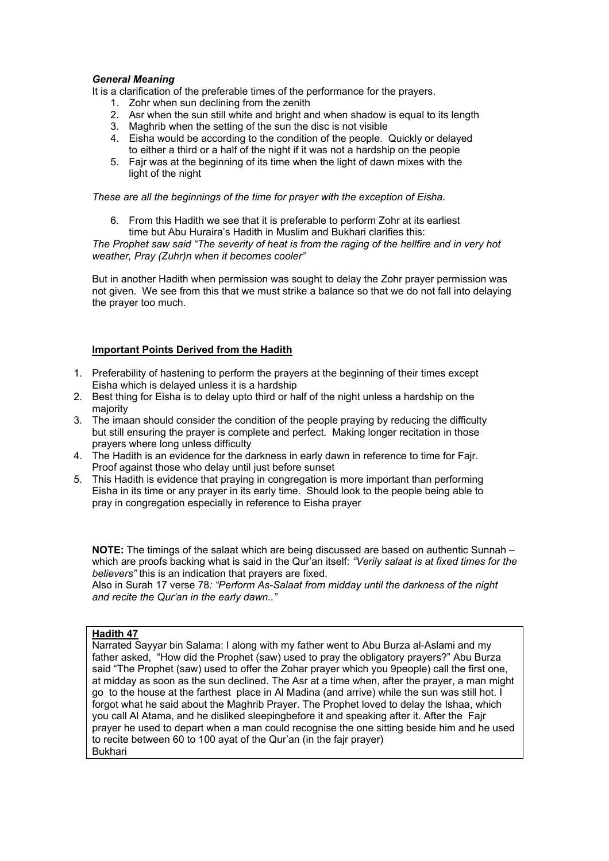#### *General Meaning*

It is a clarification of the preferable times of the performance for the prayers.

- 1. Zohr when sun declining from the zenith
- 2. Asr when the sun still white and bright and when shadow is equal to its length
- 3. Maghrib when the setting of the sun the disc is not visible
- 4. Eisha would be according to the condition of the people. Quickly or delayed to either a third or a half of the night if it was not a hardship on the people
- 5. Fajr was at the beginning of its time when the light of dawn mixes with the light of the night

*These are all the beginnings of the time for prayer with the exception of Eisha*.

6. From this Hadith we see that it is preferable to perform Zohr at its earliest time but Abu Huraira's Hadith in Muslim and Bukhari clarifies this:

*The Prophet saw said "The severity of heat is from the raging of the hellfire and in very hot weather, Pray (Zuhr)n when it becomes cooler"* 

But in another Hadith when permission was sought to delay the Zohr prayer permission was not given. We see from this that we must strike a balance so that we do not fall into delaying the prayer too much.

#### **Important Points Derived from the Hadith**

- 1. Preferability of hastening to perform the prayers at the beginning of their times except Eisha which is delayed unless it is a hardship
- 2. Best thing for Eisha is to delay upto third or half of the night unless a hardship on the majority
- 3. The imaan should consider the condition of the people praying by reducing the difficulty but still ensuring the prayer is complete and perfect. Making longer recitation in those prayers where long unless difficulty
- 4. The Hadith is an evidence for the darkness in early dawn in reference to time for Fajr. Proof against those who delay until just before sunset
- 5. This Hadith is evidence that praying in congregation is more important than performing Eisha in its time or any prayer in its early time. Should look to the people being able to pray in congregation especially in reference to Eisha prayer

**NOTE:** The timings of the salaat which are being discussed are based on authentic Sunnah – which are proofs backing what is said in the Qur'an itself: *"Verily salaat is at fixed times for the believers"* this is an indication that prayers are fixed.

Also in Surah 17 verse 78*: "Perform As-Salaat from midday until the darkness of the night and recite the Qur'an in the early dawn.."* 

#### **Hadith 47**

Narrated Sayyar bin Salama: I along with my father went to Abu Burza al-Aslami and my father asked, "How did the Prophet (saw) used to pray the obligatory prayers?" Abu Burza said "The Prophet (saw) used to offer the Zohar prayer which you 9people) call the first one, at midday as soon as the sun declined. The Asr at a time when, after the prayer, a man might go to the house at the farthest place in Al Madina (and arrive) while the sun was still hot. I forgot what he said about the Maghrib Prayer. The Prophet loved to delay the Ishaa, which you call Al Atama, and he disliked sleepingbefore it and speaking after it. After the Fajr prayer he used to depart when a man could recognise the one sitting beside him and he used to recite between 60 to 100 ayat of the Qur'an (in the fajr prayer) **Bukhari**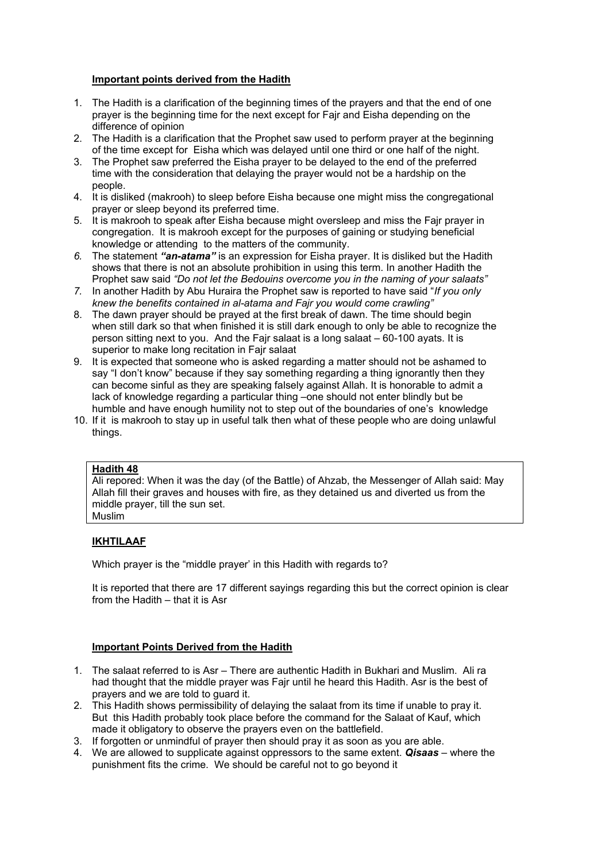# **Important points derived from the Hadith**

- 1. The Hadith is a clarification of the beginning times of the prayers and that the end of one prayer is the beginning time for the next except for Fajr and Eisha depending on the difference of opinion
- 2. The Hadith is a clarification that the Prophet saw used to perform prayer at the beginning of the time except for Eisha which was delayed until one third or one half of the night.
- 3. The Prophet saw preferred the Eisha prayer to be delayed to the end of the preferred time with the consideration that delaying the prayer would not be a hardship on the people.
- 4. It is disliked (makrooh) to sleep before Eisha because one might miss the congregational prayer or sleep beyond its preferred time.
- 5. It is makrooh to speak after Eisha because might oversleep and miss the Fajr prayer in congregation. It is makrooh except for the purposes of gaining or studying beneficial knowledge or attending to the matters of the community.
- *6.* The statement *"an-atama"* is an expression for Eisha prayer. It is disliked but the Hadith shows that there is not an absolute prohibition in using this term. In another Hadith the Prophet saw said *"Do not let the Bedouins overcome you in the naming of your salaats"*
- *7.* In another Hadith by Abu Huraira the Prophet saw is reported to have said "*If you only knew the benefits contained in al-atama and Fajr you would come crawling"*
- 8. The dawn prayer should be prayed at the first break of dawn. The time should begin when still dark so that when finished it is still dark enough to only be able to recognize the person sitting next to you. And the Fajr salaat is a long salaat – 60-100 ayats. It is superior to make long recitation in Fajr salaat
- 9. It is expected that someone who is asked regarding a matter should not be ashamed to say "I don't know" because if they say something regarding a thing ignorantly then they can become sinful as they are speaking falsely against Allah. It is honorable to admit a lack of knowledge regarding a particular thing –one should not enter blindly but be humble and have enough humility not to step out of the boundaries of one's knowledge
- 10. If it is makrooh to stay up in useful talk then what of these people who are doing unlawful things.

## **Hadith 48**

Ali repored: When it was the day (of the Battle) of Ahzab, the Messenger of Allah said: May Allah fill their graves and houses with fire, as they detained us and diverted us from the middle prayer, till the sun set. Muslim

# **IKHTILAAF**

Which prayer is the "middle prayer' in this Hadith with regards to?

It is reported that there are 17 different sayings regarding this but the correct opinion is clear from the Hadith – that it is Asr

- 1. The salaat referred to is Asr There are authentic Hadith in Bukhari and Muslim. Ali ra had thought that the middle prayer was Fajr until he heard this Hadith. Asr is the best of prayers and we are told to guard it.
- 2. This Hadith shows permissibility of delaying the salaat from its time if unable to pray it. But this Hadith probably took place before the command for the Salaat of Kauf, which made it obligatory to observe the prayers even on the battlefield.
- 3. If forgotten or unmindful of prayer then should pray it as soon as you are able.
- 4. We are allowed to supplicate against oppressors to the same extent. *Qisaas* where the punishment fits the crime. We should be careful not to go beyond it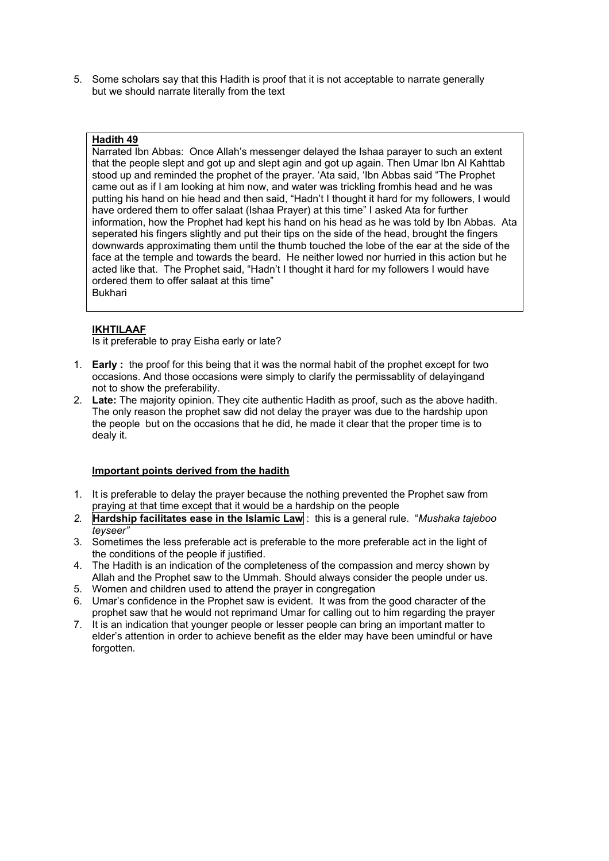5. Some scholars say that this Hadith is proof that it is not acceptable to narrate generally but we should narrate literally from the text

## **Hadith 49**

Narrated Ibn Abbas: Once Allah's messenger delayed the Ishaa parayer to such an extent that the people slept and got up and slept agin and got up again. Then Umar Ibn Al Kahttab stood up and reminded the prophet of the prayer. 'Ata said, 'Ibn Abbas said "The Prophet came out as if I am looking at him now, and water was trickling fromhis head and he was putting his hand on hie head and then said, "Hadn't I thought it hard for my followers, I would have ordered them to offer salaat (Ishaa Prayer) at this time" I asked Ata for further information, how the Prophet had kept his hand on his head as he was told by Ibn Abbas. Ata seperated his fingers slightly and put their tips on the side of the head, brought the fingers downwards approximating them until the thumb touched the lobe of the ear at the side of the face at the temple and towards the beard. He neither lowed nor hurried in this action but he acted like that. The Prophet said, "Hadn't I thought it hard for my followers I would have ordered them to offer salaat at this time" Bukhari

# **IKHTILAAF**

Is it preferable to pray Eisha early or late?

- 1. **Early :** the proof for this being that it was the normal habit of the prophet except for two occasions. And those occasions were simply to clarify the permissablity of delayingand not to show the preferability.
- 2. **Late:** The majority opinion. They cite authentic Hadith as proof, such as the above hadith. The only reason the prophet saw did not delay the prayer was due to the hardship upon the people but on the occasions that he did, he made it clear that the proper time is to dealy it.

- 1. It is preferable to delay the prayer because the nothing prevented the Prophet saw from praying at that time except that it would be a hardship on the people
- *2.* **Hardship facilitates ease in the Islamic Law** : this is a general rule. "*Mushaka tajeboo teyseer"*
- 3. Sometimes the less preferable act is preferable to the more preferable act in the light of the conditions of the people if justified.
- 4. The Hadith is an indication of the completeness of the compassion and mercy shown by Allah and the Prophet saw to the Ummah. Should always consider the people under us. 5. Women and children used to attend the prayer in congregation
- 6. Umar's confidence in the Prophet saw is evident. It was from the good character of the
- prophet saw that he would not reprimand Umar for calling out to him regarding the prayer 7. It is an indication that younger people or lesser people can bring an important matter to
- elder's attention in order to achieve benefit as the elder may have been umindful or have forgotten.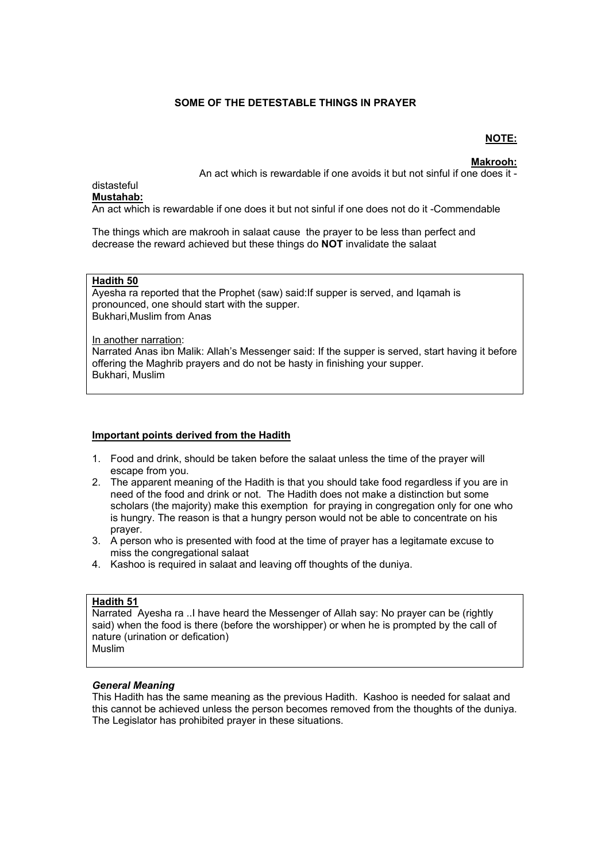# **SOME OF THE DETESTABLE THINGS IN PRAYER**

#### **NOTE:**

**Makrooh:**

An act which is rewardable if one avoids it but not sinful if one does it -

#### distasteful **Mustahab:**

An act which is rewardable if one does it but not sinful if one does not do it -Commendable

The things which are makrooh in salaat cause the prayer to be less than perfect and decrease the reward achieved but these things do **NOT** invalidate the salaat

#### **Hadith 50**

Ayesha ra reported that the Prophet (saw) said:If supper is served, and Iqamah is pronounced, one should start with the supper. Bukhari,Muslim from Anas

In another narration: Narrated Anas ibn Malik: Allah's Messenger said: If the supper is served, start having it before offering the Maghrib prayers and do not be hasty in finishing your supper. Bukhari, Muslim

## **Important points derived from the Hadith**

- 1. Food and drink, should be taken before the salaat unless the time of the prayer will escape from you.
- 2. The apparent meaning of the Hadith is that you should take food regardless if you are in need of the food and drink or not. The Hadith does not make a distinction but some scholars (the majority) make this exemption for praying in congregation only for one who is hungry. The reason is that a hungry person would not be able to concentrate on his prayer.
- 3. A person who is presented with food at the time of prayer has a legitamate excuse to miss the congregational salaat
- 4. Kashoo is required in salaat and leaving off thoughts of the duniya.

# **Hadith 51**

Narrated Ayesha ra ..I have heard the Messenger of Allah say: No prayer can be (rightly said) when the food is there (before the worshipper) or when he is prompted by the call of nature (urination or defication) **Muslim** 

#### *General Meaning*

This Hadith has the same meaning as the previous Hadith. Kashoo is needed for salaat and this cannot be achieved unless the person becomes removed from the thoughts of the duniya. The Legislator has prohibited prayer in these situations.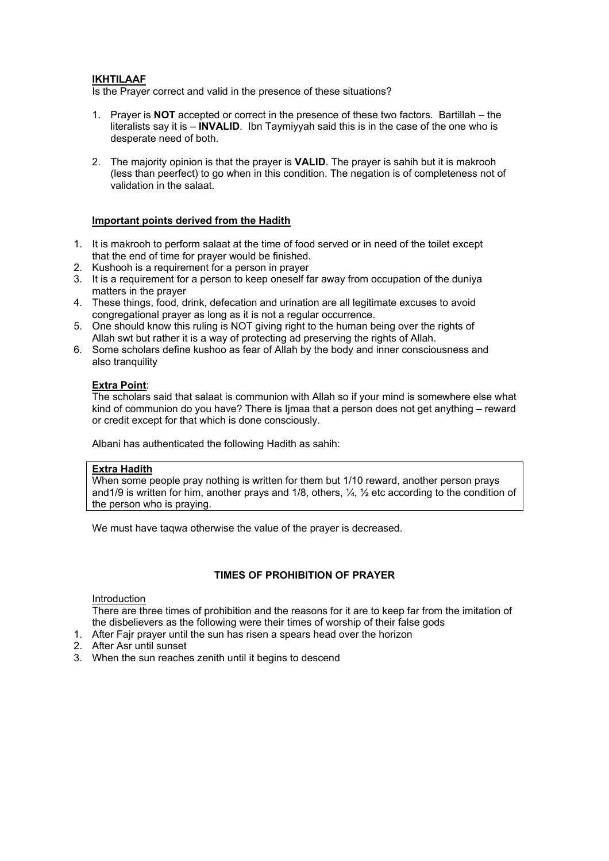### **IKHTILAAF**

Is the Prayer correct and valid in the presence of these situations?

- 1. Prayer is **NOT** accepted or correct in the presence of these two factors. Bartillah the literalists say it is – **INVALID**. Ibn Taymiyyah said this is in the case of the one who is desperate need of both.
- 2. The majority opinion is that the prayer is **VALID**. The prayer is sahih but it is makrooh (less than peerfect) to go when in this condition. The negation is of completeness not of validation in the salaat.

### **Important points derived from the Hadith**

- 1. It is makrooh to perform salaat at the time of food served or in need of the toilet except that the end of time for prayer would be finished.
- 2. Kushooh is a requirement for a person in prayer
- 3. It is a requirement for a person to keep oneself far away from occupation of the duniya matters in the prayer
- 4. These things, food, drink, defecation and urination are all legitimate excuses to avoid congregational prayer as long as it is not a regular occurrence.
- 5. One should know this ruling is NOT giving right to the human being over the rights of Allah swt but rather it is a way of protecting ad preserving the rights of Allah.
- 6. Some scholars define kushoo as fear of Allah by the body and inner consciousness and also tranquility

#### **Extra Point**:

The scholars said that salaat is communion with Allah so if your mind is somewhere else what kind of communion do you have? There is Ijmaa that a person does not get anything – reward or credit except for that which is done consciously.

Albani has authenticated the following Hadith as sahih:

## **Extra Hadith**

When some people pray nothing is written for them but 1/10 reward, another person prays and1/9 is written for him, another prays and 1/8, others, ¼, ½ etc according to the condition of the person who is praying.

We must have taqwa otherwise the value of the prayer is decreased.

# **TIMES OF PROHIBITION OF PRAYER**

#### Introduction

There are three times of prohibition and the reasons for it are to keep far from the imitation of the disbelievers as the following were their times of worship of their false gods

- 1. After Fajr prayer until the sun has risen a spears head over the horizon
- 2. After Asr until sunset
- 3. When the sun reaches zenith until it begins to descend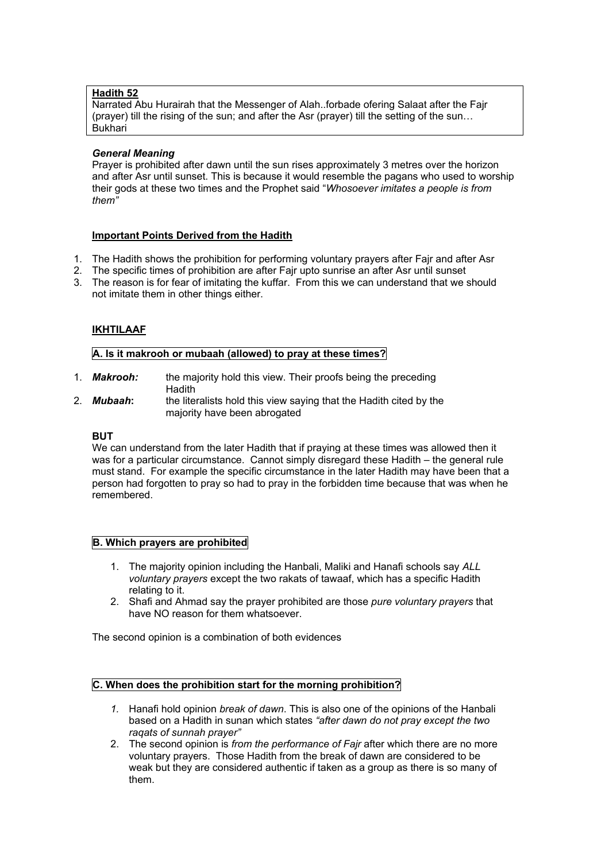### **Hadith 52**

Narrated Abu Hurairah that the Messenger of Alah..forbade ofering Salaat after the Fajr (prayer) till the rising of the sun; and after the Asr (prayer) till the setting of the sun… Bukhari

#### *General Meaning*

Prayer is prohibited after dawn until the sun rises approximately 3 metres over the horizon and after Asr until sunset. This is because it would resemble the pagans who used to worship their gods at these two times and the Prophet said "*Whosoever imitates a people is from them"* 

#### **Important Points Derived from the Hadith**

- 1. The Hadith shows the prohibition for performing voluntary prayers after Fajr and after Asr
- 2. The specific times of prohibition are after Fajr upto sunrise an after Asr until sunset
- 3. The reason is for fear of imitating the kuffar. From this we can understand that we should not imitate them in other things either.

# **IKHTILAAF**

## **A. Is it makrooh or mubaah (allowed) to pray at these times?**

- 1. *Makrooh:* the majority hold this view. Their proofs being the preceding **Hadith**
- 2. *Mubaah***:** the literalists hold this view saying that the Hadith cited by the majority have been abrogated

#### **BUT**

We can understand from the later Hadith that if praying at these times was allowed then it was for a particular circumstance. Cannot simply disregard these Hadith – the general rule must stand. For example the specific circumstance in the later Hadith may have been that a person had forgotten to pray so had to pray in the forbidden time because that was when he remembered.

# **B. Which prayers are prohibited**

- 1. The majority opinion including the Hanbali, Maliki and Hanafi schools say *ALL voluntary prayers* except the two rakats of tawaaf, which has a specific Hadith relating to it.
- 2. Shafi and Ahmad say the prayer prohibited are those *pure voluntary prayers* that have NO reason for them whatsoever.

The second opinion is a combination of both evidences

# **C. When does the prohibition start for the morning prohibition?**

- *1.* Hanafi hold opinion *break of dawn*. This is also one of the opinions of the Hanbali based on a Hadith in sunan which states *"after dawn do not pray except the two raqats of sunnah prayer"*
- 2. The second opinion is *from the performance of Fajr* after which there are no more voluntary prayers. Those Hadith from the break of dawn are considered to be weak but they are considered authentic if taken as a group as there is so many of them.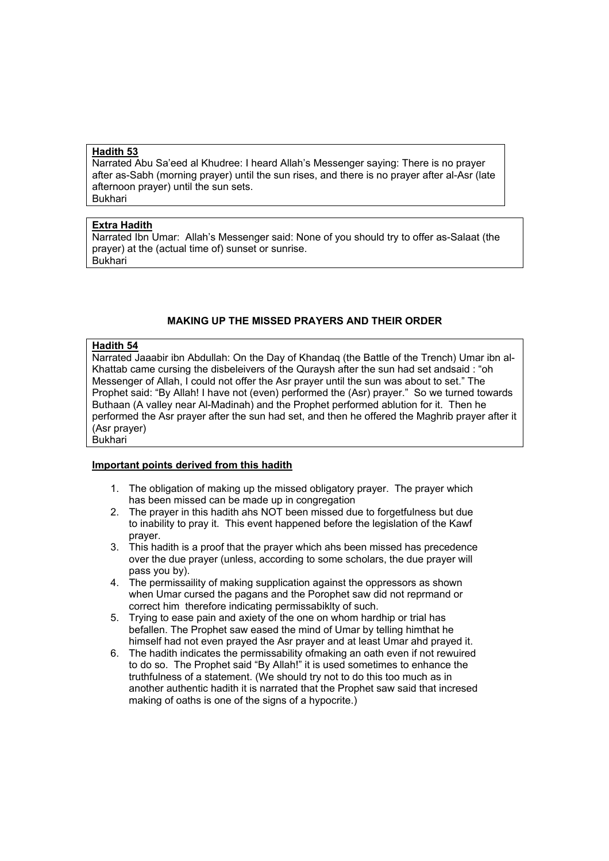## **Hadith 53**

Narrated Abu Sa'eed al Khudree: I heard Allah's Messenger saying: There is no prayer after as-Sabh (morning prayer) until the sun rises, and there is no prayer after al-Asr (late afternoon prayer) until the sun sets. Bukhari

#### **Extra Hadith**

Narrated Ibn Umar: Allah's Messenger said: None of you should try to offer as-Salaat (the prayer) at the (actual time of) sunset or sunrise. Bukhari

# **MAKING UP THE MISSED PRAYERS AND THEIR ORDER**

#### **Hadith 54**

Narrated Jaaabir ibn Abdullah: On the Day of Khandaq (the Battle of the Trench) Umar ibn al-Khattab came cursing the disbeleivers of the Quraysh after the sun had set andsaid : "oh Messenger of Allah, I could not offer the Asr prayer until the sun was about to set." The Prophet said: "By Allah! I have not (even) performed the (Asr) prayer." So we turned towards Buthaan (A valley near Al-Madinah) and the Prophet performed ablution for it. Then he performed the Asr prayer after the sun had set, and then he offered the Maghrib prayer after it (Asr prayer) Bukhari

# **Important points derived from this hadith**

- 1. The obligation of making up the missed obligatory prayer. The prayer which has been missed can be made up in congregation
- 2. The prayer in this hadith ahs NOT been missed due to forgetfulness but due to inability to pray it. This event happened before the legislation of the Kawf prayer.
- 3. This hadith is a proof that the prayer which ahs been missed has precedence over the due prayer (unless, according to some scholars, the due prayer will pass you by).
- 4. The permissaility of making supplication against the oppressors as shown when Umar cursed the pagans and the Porophet saw did not reprmand or correct him therefore indicating permissabiklty of such.
- 5. Trying to ease pain and axiety of the one on whom hardhip or trial has befallen. The Prophet saw eased the mind of Umar by telling himthat he himself had not even prayed the Asr prayer and at least Umar ahd prayed it.
- 6. The hadith indicates the permissability ofmaking an oath even if not rewuired to do so. The Prophet said "By Allah!" it is used sometimes to enhance the truthfulness of a statement. (We should try not to do this too much as in another authentic hadith it is narrated that the Prophet saw said that incresed making of oaths is one of the signs of a hypocrite.)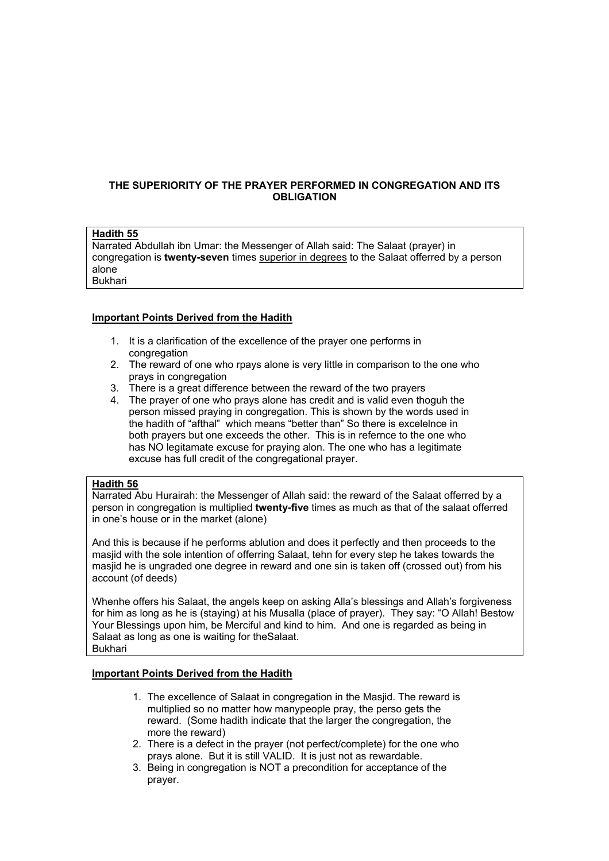# **THE SUPERIORITY OF THE PRAYER PERFORMED IN CONGREGATION AND ITS OBLIGATION**

# **Hadith 55**

Narrated Abdullah ibn Umar: the Messenger of Allah said: The Salaat (prayer) in congregation is **twenty-seven** times superior in degrees to the Salaat offerred by a person alone Bukhari

#### **Important Points Derived from the Hadith**

- 1. It is a clarification of the excellence of the prayer one performs in congregation
- 2. The reward of one who rpays alone is very little in comparison to the one who prays in congregation
- 3. There is a great difference between the reward of the two prayers
- 4. The prayer of one who prays alone has credit and is valid even thoguh the person missed praying in congregation. This is shown by the words used in the hadith of "afthal" which means "better than" So there is excelelnce in both prayers but one exceeds the other. This is in refernce to the one who has NO legitamate excuse for praying alon. The one who has a legitimate excuse has full credit of the congregational prayer.

#### **Hadith 56**

Narrated Abu Hurairah: the Messenger of Allah said: the reward of the Salaat offerred by a person in congregation is multiplied **twenty-five** times as much as that of the salaat offerred in one's house or in the market (alone)

And this is because if he performs ablution and does it perfectly and then proceeds to the masjid with the sole intention of offerring Salaat, tehn for every step he takes towards the masjid he is ungraded one degree in reward and one sin is taken off (crossed out) from his account (of deeds)

Whenhe offers his Salaat, the angels keep on asking Alla's blessings and Allah's forgiveness for him as long as he is (staying) at his Musalla (place of prayer). They say: "O Allah! Bestow Your Blessings upon him, be Merciful and kind to him. And one is regarded as being in Salaat as long as one is waiting for theSalaat. Bukhari

- 1. The excellence of Salaat in congregation in the Masjid. The reward is multiplied so no matter how manypeople pray, the perso gets the reward. (Some hadith indicate that the larger the congregation, the more the reward)
- 2. There is a defect in the prayer (not perfect/complete) for the one who prays alone. But it is still VALID. It is just not as rewardable.
- 3. Being in congregation is NOT a precondition for acceptance of the prayer.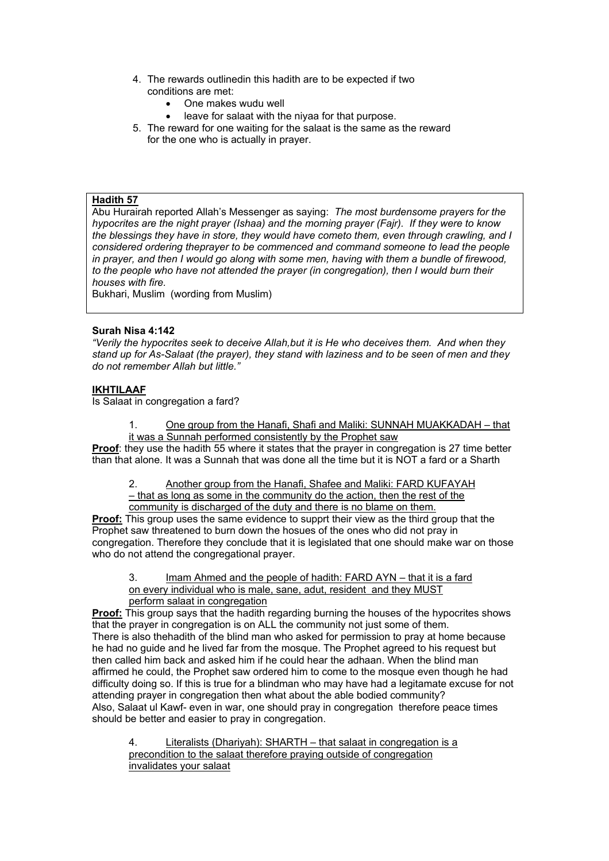- 4. The rewards outlinedin this hadith are to be expected if two conditions are met:
	- One makes wudu well
	- leave for salaat with the niyaa for that purpose.
- 5. The reward for one waiting for the salaat is the same as the reward for the one who is actually in prayer.

# **Hadith 57**

Abu Hurairah reported Allah's Messenger as saying: *The most burdensome prayers for the hypocrites are the night prayer (Ishaa) and the morning prayer (Fajr). If they were to know the blessings they have in store, they would have cometo them, even through crawling, and I considered ordering theprayer to be commenced and command someone to lead the people in prayer, and then I would go along with some men, having with them a bundle of firewood, to the people who have not attended the prayer (in congregation), then I would burn their houses with fire.* 

Bukhari, Muslim (wording from Muslim)

# **Surah Nisa 4:142**

*"Verily the hypocrites seek to deceive Allah,but it is He who deceives them. And when they stand up for As-Salaat (the prayer), they stand with laziness and to be seen of men and they do not remember Allah but little."* 

#### **IKHTILAAF**

Is Salaat in congregation a fard?

1. One group from the Hanafi, Shafi and Maliki: SUNNAH MUAKKADAH – that it was a Sunnah performed consistently by the Prophet saw

**Proof**: they use the hadith 55 where it states that the prayer in congregation is 27 time better than that alone. It was a Sunnah that was done all the time but it is NOT a fard or a Sharth

2. Another group from the Hanafi, Shafee and Maliki: FARD KUFAYAH

– that as long as some in the community do the action, then the rest of the community is discharged of the duty and there is no blame on them.

**Proof:** This group uses the same evidence to supprt their view as the third group that the Prophet saw threatened to burn down the hosues of the ones who did not pray in congregation. Therefore they conclude that it is legislated that one should make war on those who do not attend the congregational prayer.

3. Imam Ahmed and the people of hadith: FARD AYN – that it is a fard on every individual who is male, sane, adut, resident and they MUST perform salaat in congregation

**Proof:** This group says that the hadith regarding burning the houses of the hypocrites shows that the prayer in congregation is on ALL the community not just some of them. There is also thehadith of the blind man who asked for permission to pray at home because he had no guide and he lived far from the mosque. The Prophet agreed to his request but then called him back and asked him if he could hear the adhaan. When the blind man affirmed he could, the Prophet saw ordered him to come to the mosque even though he had difficulty doing so. If this is true for a blindman who may have had a legitamate excuse for not attending prayer in congregation then what about the able bodied community? Also, Salaat ul Kawf- even in war, one should pray in congregation therefore peace times should be better and easier to pray in congregation.

4. Literalists (Dhariyah): SHARTH – that salaat in congregation is a precondition to the salaat therefore praying outside of congregation invalidates your salaat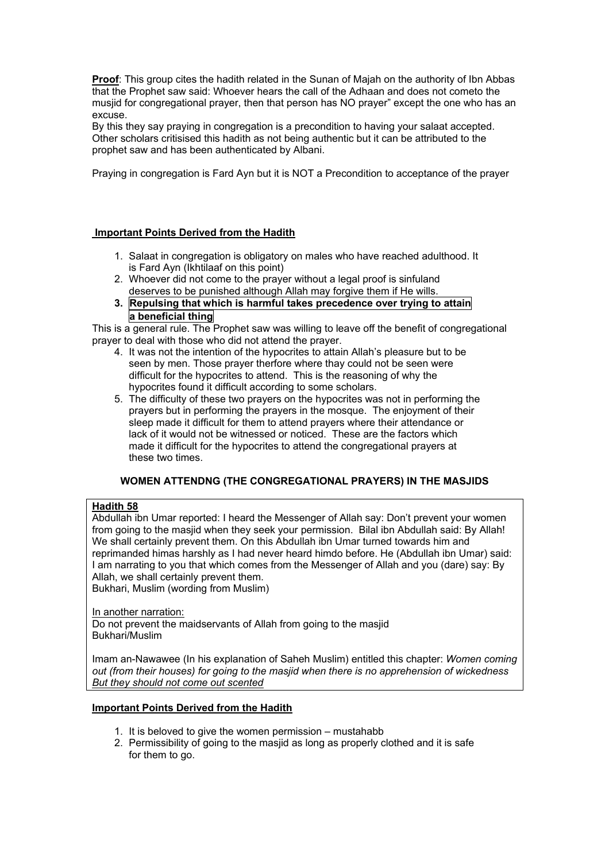**Proof**: This group cites the hadith related in the Sunan of Majah on the authority of Ibn Abbas that the Prophet saw said: Whoever hears the call of the Adhaan and does not cometo the musjid for congregational prayer, then that person has NO prayer" except the one who has an excuse.

By this they say praying in congregation is a precondition to having your salaat accepted. Other scholars critisised this hadith as not being authentic but it can be attributed to the prophet saw and has been authenticated by Albani.

Praying in congregation is Fard Ayn but it is NOT a Precondition to acceptance of the prayer

# **Important Points Derived from the Hadith**

- 1. Salaat in congregation is obligatory on males who have reached adulthood. It is Fard Ayn (Ikhtilaaf on this point)
- 2. Whoever did not come to the prayer without a legal proof is sinfuland deserves to be punished although Allah may forgive them if He wills.
- **3. Repulsing that which is harmful takes precedence over trying to attain a beneficial thing**

This is a general rule. The Prophet saw was willing to leave off the benefit of congregational prayer to deal with those who did not attend the prayer.

- 4. It was not the intention of the hypocrites to attain Allah's pleasure but to be seen by men. Those prayer therfore where thay could not be seen were difficult for the hypocrites to attend. This is the reasoning of why the hypocrites found it difficult according to some scholars.
- 5. The difficulty of these two prayers on the hypocrites was not in performing the prayers but in performing the prayers in the mosque. The enjoyment of their sleep made it difficult for them to attend prayers where their attendance or lack of it would not be witnessed or noticed. These are the factors which made it difficult for the hypocrites to attend the congregational prayers at these two times.

# **WOMEN ATTENDNG (THE CONGREGATIONAL PRAYERS) IN THE MASJIDS**

# **Hadith 58**

Abdullah ibn Umar reported: I heard the Messenger of Allah say: Don't prevent your women from going to the masjid when they seek your permission. Bilal ibn Abdullah said: By Allah! We shall certainly prevent them. On this Abdullah ibn Umar turned towards him and reprimanded himas harshly as I had never heard himdo before. He (Abdullah ibn Umar) said: I am narrating to you that which comes from the Messenger of Allah and you (dare) say: By Allah, we shall certainly prevent them. Bukhari, Muslim (wording from Muslim)

In another narration:

Do not prevent the maidservants of Allah from going to the masjid Bukhari/Muslim

Imam an-Nawawee (In his explanation of Saheh Muslim) entitled this chapter: *Women coming out (from their houses) for going to the masjid when there is no apprehension of wickedness But they should not come out scented*

- 1. It is beloved to give the women permission mustahabb
- 2. Permissibility of going to the masjid as long as properly clothed and it is safe for them to go.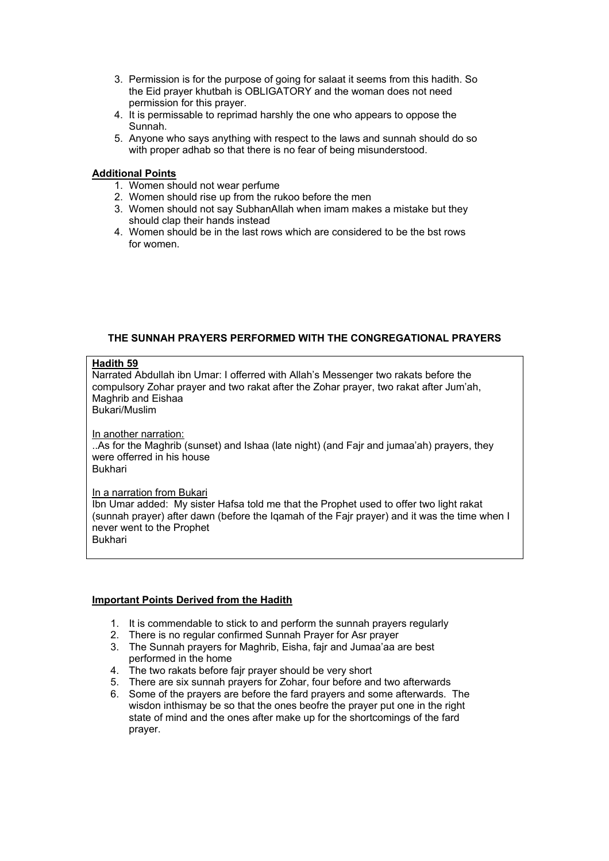- 3. Permission is for the purpose of going for salaat it seems from this hadith. So the Eid prayer khutbah is OBLIGATORY and the woman does not need permission for this prayer.
- 4. It is permissable to reprimad harshly the one who appears to oppose the Sunnah.
- 5. Anyone who says anything with respect to the laws and sunnah should do so with proper adhab so that there is no fear of being misunderstood.

# **Additional Points**

- 1. Women should not wear perfume
- 2. Women should rise up from the rukoo before the men
- 3. Women should not say SubhanAllah when imam makes a mistake but they should clap their hands instead
- 4. Women should be in the last rows which are considered to be the bst rows for women.

# **THE SUNNAH PRAYERS PERFORMED WITH THE CONGREGATIONAL PRAYERS**

# **Hadith 59**

Narrated Abdullah ibn Umar: I offerred with Allah's Messenger two rakats before the compulsory Zohar prayer and two rakat after the Zohar prayer, two rakat after Jum'ah, Maghrib and Eishaa Bukari/Muslim

In another narration:

..As for the Maghrib (sunset) and Ishaa (late night) (and Fajr and jumaa'ah) prayers, they were offerred in his house Bukhari

In a narration from Bukari

Ibn Umar added: My sister Hafsa told me that the Prophet used to offer two light rakat (sunnah prayer) after dawn (before the Iqamah of the Fajr prayer) and it was the time when I never went to the Prophet Bukhari

- 1. It is commendable to stick to and perform the sunnah prayers regularly
- 2. There is no regular confirmed Sunnah Prayer for Asr prayer
- 3. The Sunnah prayers for Maghrib, Eisha, fajr and Jumaa'aa are best performed in the home
- 4. The two rakats before fajr prayer should be very short
- 5. There are six sunnah prayers for Zohar, four before and two afterwards 6. Some of the prayers are before the fard prayers and some afterwards.
- 6. Some of the prayers are before the fard prayers and some afterwards. The wisdon inthismay be so that the ones beofre the prayer put one in the right state of mind and the ones after make up for the shortcomings of the fard prayer.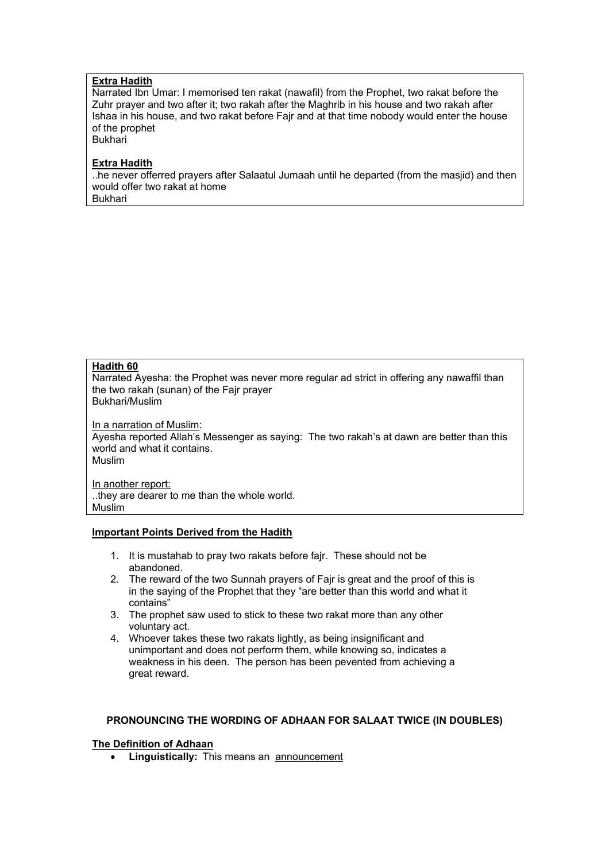# **Extra Hadith**

Narrated Ibn Umar: I memorised ten rakat (nawafil) from the Prophet, two rakat before the Zuhr prayer and two after it; two rakah after the Maghrib in his house and two rakah after Ishaa in his house, and two rakat before Fajr and at that time nobody would enter the house of the prophet

Bukhari

## **Extra Hadith**

..he never offerred prayers after Salaatul Jumaah until he departed (from the masjid) and then would offer two rakat at home Bukhari

# **Hadith 60**

Narrated Ayesha: the Prophet was never more regular ad strict in offering any nawaffil than the two rakah (sunan) of the Fajr prayer

Bukhari/Muslim

In a narration of Muslim: Ayesha reported Allah's Messenger as saying: The two rakah's at dawn are better than this world and what it contains. Muslim

In another report: ..they are dearer to me than the whole world. Muslim

#### **Important Points Derived from the Hadith**

- 1. It is mustahab to pray two rakats before fajr. These should not be abandoned.
- 2. The reward of the two Sunnah prayers of Fajr is great and the proof of this is in the saying of the Prophet that they "are better than this world and what it contains"
- 3. The prophet saw used to stick to these two rakat more than any other voluntary act.
- 4. Whoever takes these two rakats lightly, as being insignificant and unimportant and does not perform them, while knowing so, indicates a weakness in his deen. The person has been pevented from achieving a great reward.

# **PRONOUNCING THE WORDING OF ADHAAN FOR SALAAT TWICE (IN DOUBLES)**

# **The Definition of Adhaan**

• **Linguistically:** This means an announcement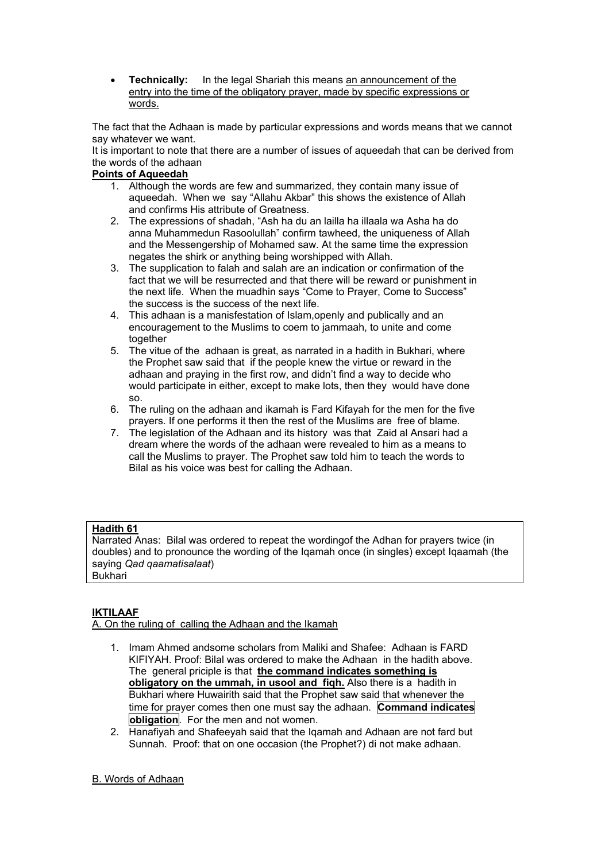• **Technically:** In the legal Shariah this means an announcement of the entry into the time of the obligatory prayer, made by specific expressions or words.

The fact that the Adhaan is made by particular expressions and words means that we cannot say whatever we want.

It is important to note that there are a number of issues of aqueedah that can be derived from the words of the adhaan

# **Points of Aqueedah**

- 1. Although the words are few and summarized, they contain many issue of aqueedah. When we say "Allahu Akbar" this shows the existence of Allah and confirms His attribute of Greatness.
- 2. The expressions of shadah, "Ash ha du an lailla ha illaala wa Asha ha do anna Muhammedun Rasoolullah" confirm tawheed, the uniqueness of Allah and the Messengership of Mohamed saw. At the same time the expression negates the shirk or anything being worshipped with Allah.
- 3. The supplication to falah and salah are an indication or confirmation of the fact that we will be resurrected and that there will be reward or punishment in the next life. When the muadhin says "Come to Prayer, Come to Success" the success is the success of the next life.
- 4. This adhaan is a manisfestation of Islam,openly and publically and an encouragement to the Muslims to coem to jammaah, to unite and come together
- 5. The vitue of the adhaan is great, as narrated in a hadith in Bukhari, where the Prophet saw said that if the people knew the virtue or reward in the adhaan and praying in the first row, and didn't find a way to decide who would participate in either, except to make lots, then they would have done so.
- 6. The ruling on the adhaan and ikamah is Fard Kifayah for the men for the five prayers. If one performs it then the rest of the Muslims are free of blame.
- 7. The legislation of the Adhaan and its history was that Zaid al Ansari had a dream where the words of the adhaan were revealed to him as a means to call the Muslims to prayer. The Prophet saw told him to teach the words to Bilal as his voice was best for calling the Adhaan.

# **Hadith 61**

Narrated Anas: Bilal was ordered to repeat the wordingof the Adhan for prayers twice (in doubles) and to pronounce the wording of the Iqamah once (in singles) except Iqaamah (the saying *Qad qaamatisalaat*) Bukhari

# **IKTILAAF**

A. On the ruling of calling the Adhaan and the Ikamah

- 1. Imam Ahmed andsome scholars from Maliki and Shafee: Adhaan is FARD KIFIYAH. Proof: Bilal was ordered to make the Adhaan in the hadith above. The general priciple is that **the command indicates something is obligatory on the ummah, in usool and figh.** Also there is a hadith in Bukhari where Huwairith said that the Prophet saw said that whenever the time for prayer comes then one must say the adhaan. **Command indicates obligation**. For the men and not women.
- 2. Hanafiyah and Shafeeyah said that the Iqamah and Adhaan are not fard but Sunnah. Proof: that on one occasion (the Prophet?) di not make adhaan.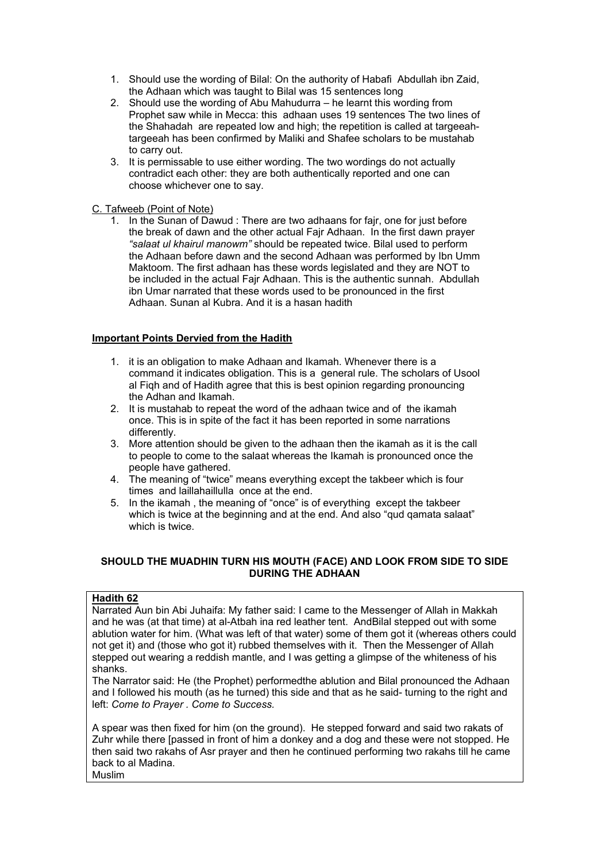- 1. Should use the wording of Bilal: On the authority of Habafi Abdullah ibn Zaid, the Adhaan which was taught to Bilal was 15 sentences long
- 2. Should use the wording of Abu Mahudurra he learnt this wording from Prophet saw while in Mecca: this adhaan uses 19 sentences The two lines of the Shahadah are repeated low and high; the repetition is called at targeeahtargeeah has been confirmed by Maliki and Shafee scholars to be mustahab to carry out.
- 3. It is permissable to use either wording. The two wordings do not actually contradict each other: they are both authentically reported and one can choose whichever one to say.

# C. Tafweeb (Point of Note)

1. In the Sunan of Dawud : There are two adhaans for fajr, one for just before the break of dawn and the other actual Fajr Adhaan. In the first dawn prayer *"salaat ul khairul manowm"* should be repeated twice. Bilal used to perform the Adhaan before dawn and the second Adhaan was performed by Ibn Umm Maktoom. The first adhaan has these words legislated and they are NOT to be included in the actual Fajr Adhaan. This is the authentic sunnah. Abdullah ibn Umar narrated that these words used to be pronounced in the first Adhaan. Sunan al Kubra. And it is a hasan hadith

# **Important Points Dervied from the Hadith**

- 1. it is an obligation to make Adhaan and Ikamah. Whenever there is a command it indicates obligation. This is a general rule. The scholars of Usool al Fiqh and of Hadith agree that this is best opinion regarding pronouncing the Adhan and Ikamah.
- 2. It is mustahab to repeat the word of the adhaan twice and of the ikamah once. This is in spite of the fact it has been reported in some narrations differently.
- 3. More attention should be given to the adhaan then the ikamah as it is the call to people to come to the salaat whereas the Ikamah is pronounced once the people have gathered.
- 4. The meaning of "twice" means everything except the takbeer which is four times and laillahaillulla once at the end.
- 5. In the ikamah , the meaning of "once" is of everything except the takbeer which is twice at the beginning and at the end. And also "gud gamata salaat" which is twice.

# **SHOULD THE MUADHIN TURN HIS MOUTH (FACE) AND LOOK FROM SIDE TO SIDE DURING THE ADHAAN**

#### **Hadith 62**

Narrated Aun bin Abi Juhaifa: My father said: I came to the Messenger of Allah in Makkah and he was (at that time) at al-Atbah ina red leather tent. AndBilal stepped out with some ablution water for him. (What was left of that water) some of them got it (whereas others could not get it) and (those who got it) rubbed themselves with it. Then the Messenger of Allah stepped out wearing a reddish mantle, and I was getting a glimpse of the whiteness of his shanks.

The Narrator said: He (the Prophet) performedthe ablution and Bilal pronounced the Adhaan and I followed his mouth (as he turned) this side and that as he said- turning to the right and left: *Come to Prayer . Come to Success.* 

A spear was then fixed for him (on the ground). He stepped forward and said two rakats of Zuhr while there [passed in front of him a donkey and a dog and these were not stopped. He then said two rakahs of Asr prayer and then he continued performing two rakahs till he came back to al Madina. Muslim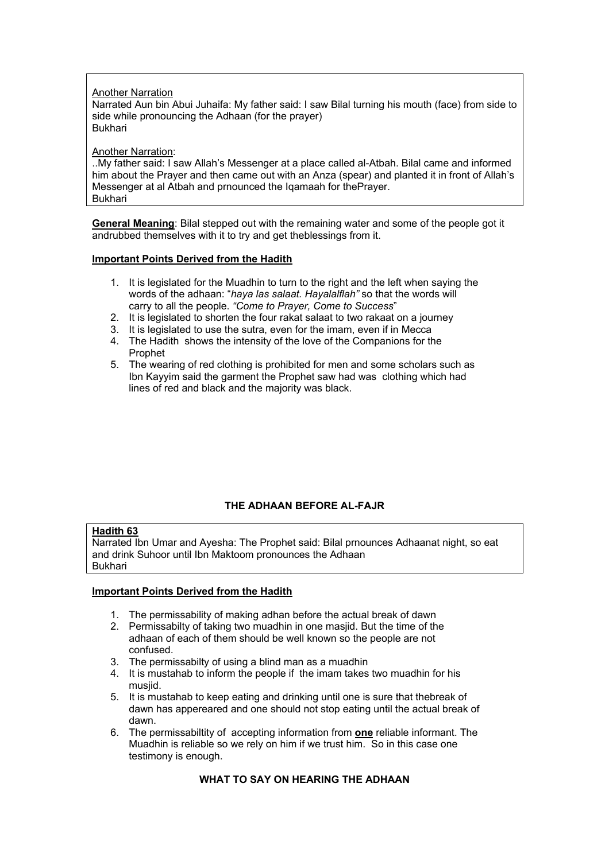Another Narration

Narrated Aun bin Abui Juhaifa: My father said: I saw Bilal turning his mouth (face) from side to side while pronouncing the Adhaan (for the prayer) Bukhari

Another Narration:

..My father said: I saw Allah's Messenger at a place called al-Atbah. Bilal came and informed him about the Prayer and then came out with an Anza (spear) and planted it in front of Allah's Messenger at al Atbah and prnounced the Iqamaah for thePrayer. Bukhari

**General Meaning**: Bilal stepped out with the remaining water and some of the people got it andrubbed themselves with it to try and get theblessings from it.

#### **Important Points Derived from the Hadith**

- 1. It is legislated for the Muadhin to turn to the right and the left when saying the words of the adhaan: "*haya las salaat. Hayalalflah"* so that the words will carry to all the people. *"Come to Prayer, Come to Success*"
- 2. It is legislated to shorten the four rakat salaat to two rakaat on a journey
- 3. It is legislated to use the sutra, even for the imam, even if in Mecca
- 4. The Hadith shows the intensity of the love of the Companions for the Prophet
- 5. The wearing of red clothing is prohibited for men and some scholars such as Ibn Kayyim said the garment the Prophet saw had was clothing which had lines of red and black and the majority was black.

# **THE ADHAAN BEFORE AL-FAJR**

# **Hadith 63**

Narrated Ibn Umar and Ayesha: The Prophet said: Bilal prnounces Adhaanat night, so eat and drink Suhoor until Ibn Maktoom pronounces the Adhaan Bukhari

# **Important Points Derived from the Hadith**

- 1. The permissability of making adhan before the actual break of dawn
- 2. Permissabilty of taking two muadhin in one masjid. But the time of the adhaan of each of them should be well known so the people are not confused.
- 3. The permissabilty of using a blind man as a muadhin
- 4. It is mustahab to inform the people if the imam takes two muadhin for his musjid.
- 5. It is mustahab to keep eating and drinking until one is sure that thebreak of dawn has appereared and one should not stop eating until the actual break of dawn.
- 6. The permissabiltity of accepting information from **one** reliable informant. The Muadhin is reliable so we rely on him if we trust him. So in this case one testimony is enough.

# **WHAT TO SAY ON HEARING THE ADHAAN**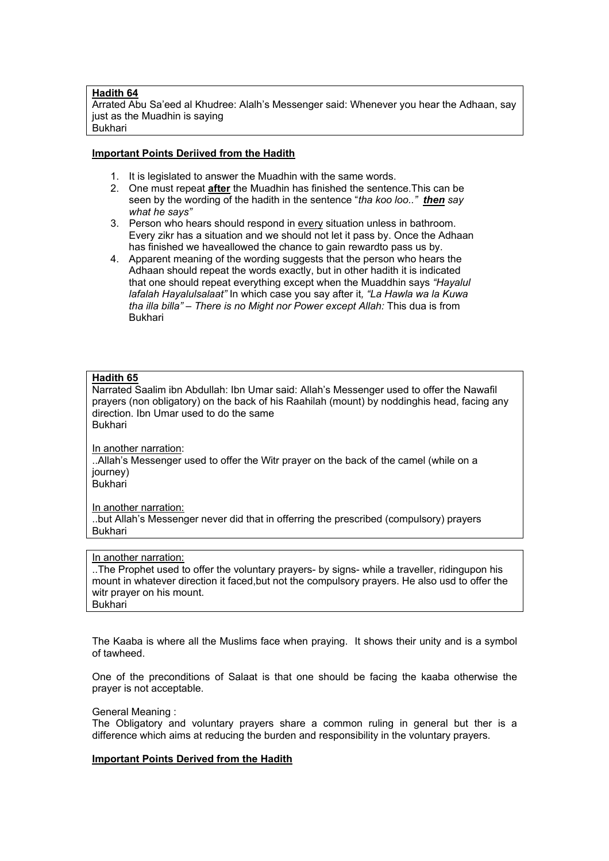#### **Hadith 64**

Arrated Abu Sa'eed al Khudree: Alalh's Messenger said: Whenever you hear the Adhaan, say just as the Muadhin is saying Bukhari

#### **Important Points Deriived from the Hadith**

- 1. It is legislated to answer the Muadhin with the same words.
- 2. One must repeat **after** the Muadhin has finished the sentence.This can be seen by the wording of the hadith in the sentence "*tha koo loo.." then say what he says"*
- 3. Person who hears should respond in every situation unless in bathroom. Every zikr has a situation and we should not let it pass by. Once the Adhaan has finished we haveallowed the chance to gain rewardto pass us by.
- 4. Apparent meaning of the wording suggests that the person who hears the Adhaan should repeat the words exactly, but in other hadith it is indicated that one should repeat everything except when the Muaddhin says *"Hayalul lafalah Hayalulsalaat"* In which case you say after it*, "La Hawla wa la Kuwa tha illa billa" – There is no Might nor Power except Allah:* This dua is from Bukhari

## **Hadith 65**

Narrated Saalim ibn Abdullah: Ibn Umar said: Allah's Messenger used to offer the Nawafil prayers (non obligatory) on the back of his Raahilah (mount) by noddinghis head, facing any direction. Ibn Umar used to do the same Bukhari

In another narration: ..Allah's Messenger used to offer the Witr prayer on the back of the camel (while on a journey)

Bukhari

In another narration:

..but Allah's Messenger never did that in offerring the prescribed (compulsory) prayers Bukhari

# In another narration:

..The Prophet used to offer the voluntary prayers- by signs- while a traveller, ridingupon his mount in whatever direction it faced,but not the compulsory prayers. He also usd to offer the witr prayer on his mount. **Bukhari** 

The Kaaba is where all the Muslims face when praying. It shows their unity and is a symbol of tawheed.

One of the preconditions of Salaat is that one should be facing the kaaba otherwise the prayer is not acceptable.

#### General Meaning :

The Obligatory and voluntary prayers share a common ruling in general but ther is a difference which aims at reducing the burden and responsibility in the voluntary prayers.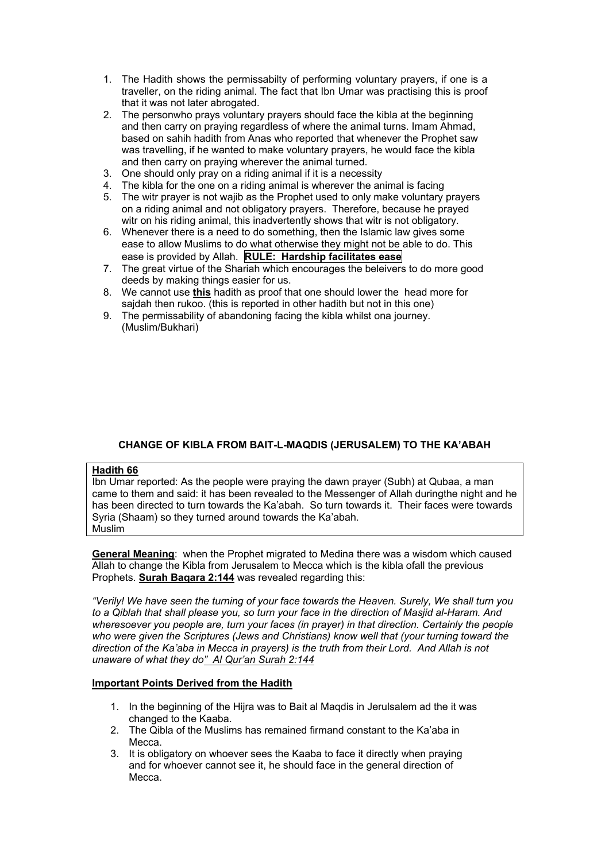- 1. The Hadith shows the permissabilty of performing voluntary prayers, if one is a traveller, on the riding animal. The fact that Ibn Umar was practising this is proof that it was not later abrogated.
- 2. The personwho prays voluntary prayers should face the kibla at the beginning and then carry on praying regardless of where the animal turns. Imam Ahmad, based on sahih hadith from Anas who reported that whenever the Prophet saw was travelling, if he wanted to make voluntary prayers, he would face the kibla and then carry on praying wherever the animal turned.
- 3. One should only pray on a riding animal if it is a necessity
- 4. The kibla for the one on a riding animal is wherever the animal is facing
- 5. The witr prayer is not wajib as the Prophet used to only make voluntary prayers on a riding animal and not obligatory prayers. Therefore, because he prayed witr on his riding animal, this inadvertently shows that witr is not obligatory.
- 6. Whenever there is a need to do something, then the Islamic law gives some ease to allow Muslims to do what otherwise they might not be able to do. This ease is provided by Allah. **RULE: Hardship facilitates ease**
- 7. The great virtue of the Shariah which encourages the beleivers to do more good deeds by making things easier for us.
- 8. We cannot use **this** hadith as proof that one should lower the head more for sajdah then rukoo. (this is reported in other hadith but not in this one)
- 9. The permissability of abandoning facing the kibla whilst ona journey. (Muslim/Bukhari)

# **CHANGE OF KIBLA FROM BAIT-L-MAQDIS (JERUSALEM) TO THE KA'ABAH**

#### **Hadith 66**

Ibn Umar reported: As the people were praying the dawn prayer (Subh) at Qubaa, a man came to them and said: it has been revealed to the Messenger of Allah duringthe night and he has been directed to turn towards the Ka'abah. So turn towards it. Their faces were towards Syria (Shaam) so they turned around towards the Ka'abah. Muslim

**General Meaning**: when the Prophet migrated to Medina there was a wisdom which caused Allah to change the Kibla from Jerusalem to Mecca which is the kibla ofall the previous Prophets. **Surah Baqara 2:144** was revealed regarding this:

*"Verily! We have seen the turning of your face towards the Heaven. Surely, We shall turn you to a Qiblah that shall please you, so turn your face in the direction of Masjid al-Haram. And wheresoever you people are, turn your faces (in prayer) in that direction. Certainly the people who were given the Scriptures (Jews and Christians) know well that (your turning toward the direction of the Ka'aba in Mecca in prayers) is the truth from their Lord. And Allah is not unaware of what they do" Al Qur'an Surah 2:144*

- 1. In the beginning of the Hijra was to Bait al Maqdis in Jerulsalem ad the it was changed to the Kaaba.
- 2. The Qibla of the Muslims has remained firmand constant to the Ka'aba in Mecca.
- 3. It is obligatory on whoever sees the Kaaba to face it directly when praying and for whoever cannot see it, he should face in the general direction of Mecca.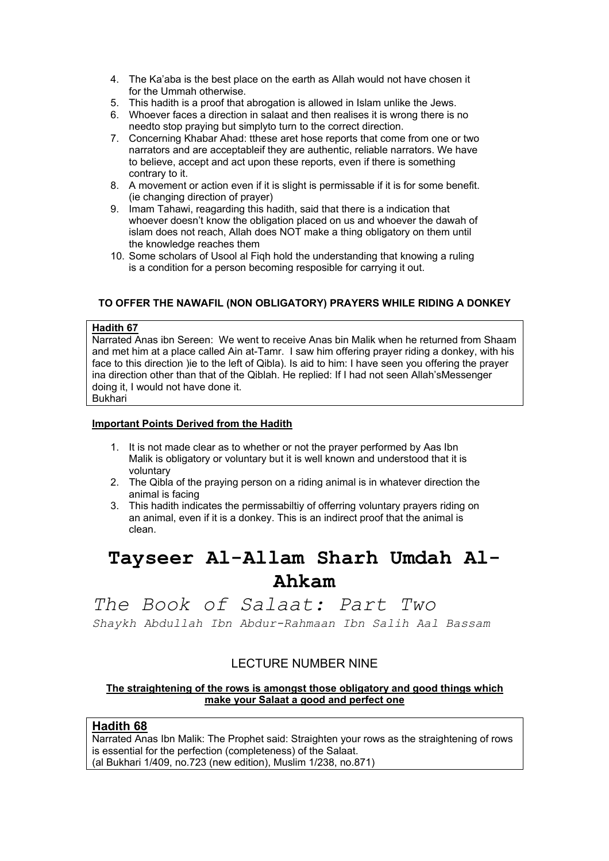- 4. The Ka'aba is the best place on the earth as Allah would not have chosen it for the Ummah otherwise.
- 5. This hadith is a proof that abrogation is allowed in Islam unlike the Jews.
- 6. Whoever faces a direction in salaat and then realises it is wrong there is no needto stop praying but simplyto turn to the correct direction.
- 7. Concerning Khabar Ahad: tthese aret hose reports that come from one or two narrators and are acceptableif they are authentic, reliable narrators. We have to believe, accept and act upon these reports, even if there is something contrary to it.
- 8. A movement or action even if it is slight is permissable if it is for some benefit. (ie changing direction of prayer)
- 9. Imam Tahawi, reagarding this hadith, said that there is a indication that whoever doesn't know the obligation placed on us and whoever the dawah of islam does not reach, Allah does NOT make a thing obligatory on them until the knowledge reaches them
- 10. Some scholars of Usool al Fiqh hold the understanding that knowing a ruling is a condition for a person becoming resposible for carrying it out.

# **TO OFFER THE NAWAFIL (NON OBLIGATORY) PRAYERS WHILE RIDING A DONKEY**

#### **Hadith 67**

Narrated Anas ibn Sereen: We went to receive Anas bin Malik when he returned from Shaam and met him at a place called Ain at-Tamr. I saw him offering prayer riding a donkey, with his face to this direction )ie to the left of Qibla). Is aid to him: I have seen you offering the prayer ina direction other than that of the Qiblah. He replied: If I had not seen Allah'sMessenger doing it, I would not have done it. **Bukhari** 

# **Important Points Derived from the Hadith**

- 1. It is not made clear as to whether or not the prayer performed by Aas Ibn Malik is obligatory or voluntary but it is well known and understood that it is voluntary
- 2. The Qibla of the praying person on a riding animal is in whatever direction the animal is facing
- 3. This hadith indicates the permissabiltiy of offerring voluntary prayers riding on an animal, even if it is a donkey. This is an indirect proof that the animal is clean.

# **Tayseer Al-Allam Sharh Umdah Al-Ahkam**

# *The Book of Salaat: Part Two*

*Shaykh Abdullah Ibn Abdur-Rahmaan Ibn Salih Aal Bassam*

# LECTURE NUMBER NINE

# **The straightening of the rows is amongst those obligatory and good things which make your Salaat a good and perfect one**

# **Hadith 68**

Narrated Anas Ibn Malik: The Prophet said: Straighten your rows as the straightening of rows is essential for the perfection (completeness) of the Salaat. (al Bukhari 1/409, no.723 (new edition), Muslim 1/238, no.871)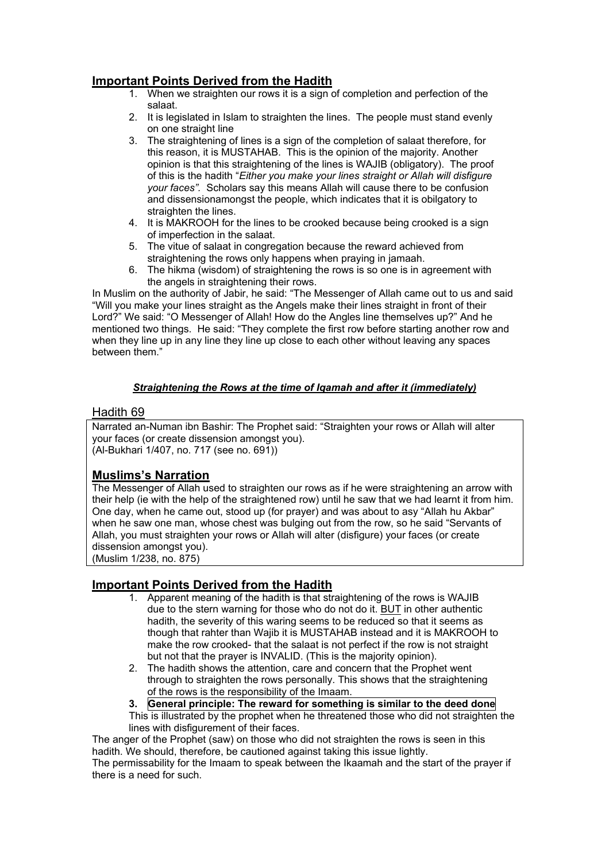# **Important Points Derived from the Hadith**

- 1. When we straighten our rows it is a sign of completion and perfection of the salaat.
- 2. It is legislated in Islam to straighten the lines. The people must stand evenly on one straight line
- 3. The straightening of lines is a sign of the completion of salaat therefore, for this reason, it is MUSTAHAB. This is the opinion of the majority. Another opinion is that this straightening of the lines is WAJIB (obligatory). The proof of this is the hadith "*Either you make your lines straight or Allah will disfigure your faces".* Scholars say this means Allah will cause there to be confusion and dissensionamongst the people, which indicates that it is obilgatory to straighten the lines.
- 4. It is MAKROOH for the lines to be crooked because being crooked is a sign of imperfection in the salaat.
- 5. The vitue of salaat in congregation because the reward achieved from straightening the rows only happens when praying in jamaah.
- 6. The hikma (wisdom) of straightening the rows is so one is in agreement with the angels in straightening their rows.

In Muslim on the authority of Jabir, he said: "The Messenger of Allah came out to us and said "Will you make your lines straight as the Angels make their lines straight in front of their Lord?" We said: "O Messenger of Allah! How do the Angles line themselves up?" And he mentioned two things. He said: "They complete the first row before starting another row and when they line up in any line they line up close to each other without leaving any spaces between them."

# *Straightening the Rows at the time of Iqamah and after it (immediately)*

# Hadith 69

Narrated an-Numan ibn Bashir: The Prophet said: "Straighten your rows or Allah will alter your faces (or create dissension amongst you). (Al-Bukhari 1/407, no. 717 (see no. 691))

# **Muslims's Narration**

The Messenger of Allah used to straighten our rows as if he were straightening an arrow with their help (ie with the help of the straightened row) until he saw that we had learnt it from him. One day, when he came out, stood up (for prayer) and was about to asy "Allah hu Akbar" when he saw one man, whose chest was bulging out from the row, so he said "Servants of Allah, you must straighten your rows or Allah will alter (disfigure) your faces (or create dissension amongst you).

(Muslim 1/238, no. 875)

# **Important Points Derived from the Hadith**

- 1. Apparent meaning of the hadith is that straightening of the rows is WAJIB due to the stern warning for those who do not do it. BUT in other authentic hadith, the severity of this waring seems to be reduced so that it seems as though that rahter than Wajib it is MUSTAHAB instead and it is MAKROOH to make the row crooked- that the salaat is not perfect if the row is not straight but not that the prayer is INVALID. (This is the majority opinion).
- 2. The hadith shows the attention, care and concern that the Prophet went through to straighten the rows personally. This shows that the straightening of the rows is the responsibility of the Imaam.
- **3. General principle: The reward for something is similar to the deed done**
- This is illustrated by the prophet when he threatened those who did not straighten the lines with disfigurement of their faces.

The anger of the Prophet (saw) on those who did not straighten the rows is seen in this hadith. We should, therefore, be cautioned against taking this issue lightly. The permissability for the Imaam to speak between the Ikaamah and the start of the prayer if there is a need for such.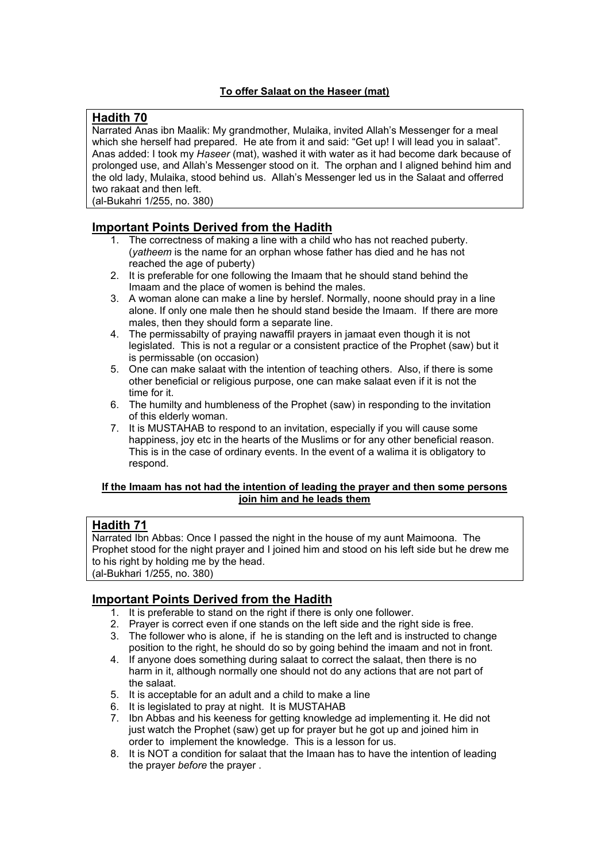# **To offer Salaat on the Haseer (mat)**

# **Hadith 70**

Narrated Anas ibn Maalik: My grandmother, Mulaika, invited Allah's Messenger for a meal which she herself had prepared. He ate from it and said: "Get up! I will lead you in salaat". Anas added: I took my *Haseer* (mat), washed it with water as it had become dark because of prolonged use, and Allah's Messenger stood on it. The orphan and I aligned behind him and the old lady, Mulaika, stood behind us. Allah's Messenger led us in the Salaat and offerred two rakaat and then left.

(al-Bukahri 1/255, no. 380)

# **Important Points Derived from the Hadith**

- 1. The correctness of making a line with a child who has not reached puberty. (*yatheem* is the name for an orphan whose father has died and he has not reached the age of puberty)
- 2. It is preferable for one following the Imaam that he should stand behind the Imaam and the place of women is behind the males.
- 3. A woman alone can make a line by herslef. Normally, noone should pray in a line alone. If only one male then he should stand beside the Imaam. If there are more males, then they should form a separate line.
- 4. The permissabilty of praying nawaffil prayers in jamaat even though it is not legislated. This is not a regular or a consistent practice of the Prophet (saw) but it is permissable (on occasion)
- 5. One can make salaat with the intention of teaching others. Also, if there is some other beneficial or religious purpose, one can make salaat even if it is not the time for it.
- 6. The humilty and humbleness of the Prophet (saw) in responding to the invitation of this elderly woman.
- 7. It is MUSTAHAB to respond to an invitation, especially if you will cause some happiness, joy etc in the hearts of the Muslims or for any other beneficial reason. This is in the case of ordinary events. In the event of a walima it is obligatory to respond.

# **If the Imaam has not had the intention of leading the prayer and then some persons join him and he leads them**

# **Hadith 71**

Narrated Ibn Abbas: Once I passed the night in the house of my aunt Maimoona. The Prophet stood for the night prayer and I joined him and stood on his left side but he drew me to his right by holding me by the head. (al-Bukhari 1/255, no. 380)

- 1. It is preferable to stand on the right if there is only one follower.
- 2. Prayer is correct even if one stands on the left side and the right side is free.
- 3. The follower who is alone, if he is standing on the left and is instructed to change position to the right, he should do so by going behind the imaam and not in front.
- 4. If anyone does something during salaat to correct the salaat, then there is no harm in it, although normally one should not do any actions that are not part of the salaat.
- 5. It is acceptable for an adult and a child to make a line
- 6. It is legislated to pray at night. It is MUSTAHAB
- 7. Ibn Abbas and his keeness for getting knowledge ad implementing it. He did not just watch the Prophet (saw) get up for prayer but he got up and joined him in order to implement the knowledge. This is a lesson for us.
- 8. It is NOT a condition for salaat that the Imaan has to have the intention of leading the prayer *before* the prayer .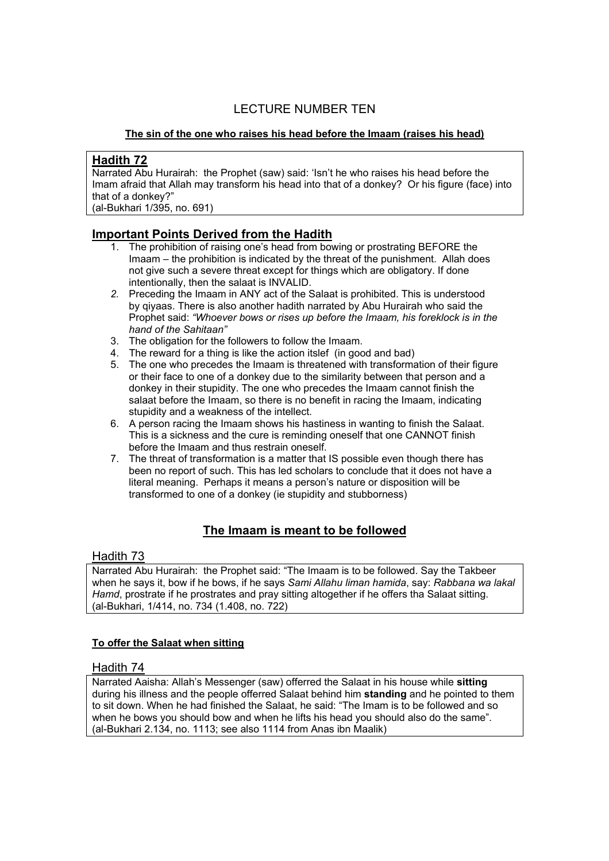# LECTURE NUMBER TEN

# **The sin of the one who raises his head before the Imaam (raises his head)**

# **Hadith 72**

Narrated Abu Hurairah: the Prophet (saw) said: 'Isn't he who raises his head before the Imam afraid that Allah may transform his head into that of a donkey? Or his figure (face) into that of a donkey?"

(al-Bukhari 1/395, no. 691)

# **Important Points Derived from the Hadith**

- 1. The prohibition of raising one's head from bowing or prostrating BEFORE the Imaam – the prohibition is indicated by the threat of the punishment. Allah does not give such a severe threat except for things which are obligatory. If done intentionally, then the salaat is INVALID.
- *2.* Preceding the Imaam in ANY act of the Salaat is prohibited. This is understood by qiyaas. There is also another hadith narrated by Abu Hurairah who said the Prophet said: *"Whoever bows or rises up before the Imaam, his foreklock is in the hand of the Sahitaan"*
- 3. The obligation for the followers to follow the Imaam.
- 4. The reward for a thing is like the action itslef (in good and bad)
- 5. The one who precedes the Imaam is threatened with transformation of their figure or their face to one of a donkey due to the similarity between that person and a donkey in their stupidity. The one who precedes the Imaam cannot finish the salaat before the Imaam, so there is no benefit in racing the Imaam, indicating stupidity and a weakness of the intellect.
- 6. A person racing the Imaam shows his hastiness in wanting to finish the Salaat. This is a sickness and the cure is reminding oneself that one CANNOT finish before the Imaam and thus restrain oneself.
- 7. The threat of transformation is a matter that IS possible even though there has been no report of such. This has led scholars to conclude that it does not have a literal meaning. Perhaps it means a person's nature or disposition will be transformed to one of a donkey (ie stupidity and stubborness)

# **The Imaam is meant to be followed**

# Hadith 73

Narrated Abu Hurairah: the Prophet said: "The Imaam is to be followed. Say the Takbeer when he says it, bow if he bows, if he says *Sami Allahu liman hamida*, say: *Rabbana wa lakal Hamd*, prostrate if he prostrates and pray sitting altogether if he offers tha Salaat sitting. (al-Bukhari, 1/414, no. 734 (1.408, no. 722)

# **To offer the Salaat when sitting**

# Hadith 74

Narrated Aaisha: Allah's Messenger (saw) offerred the Salaat in his house while **sitting**  during his illness and the people offerred Salaat behind him **standing** and he pointed to them to sit down. When he had finished the Salaat, he said: "The Imam is to be followed and so when he bows you should bow and when he lifts his head you should also do the same". (al-Bukhari 2.134, no. 1113; see also 1114 from Anas ibn Maalik)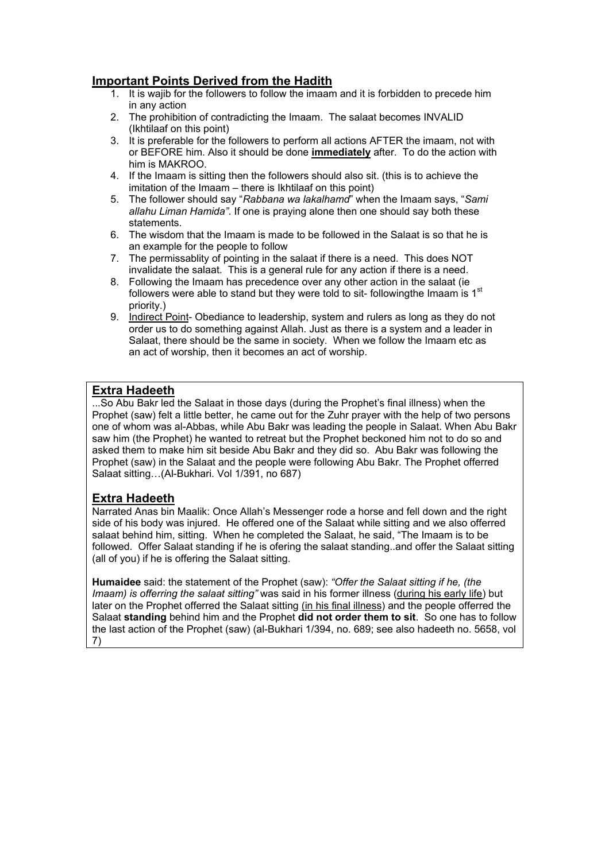# **Important Points Derived from the Hadith**

- 1. It is wajib for the followers to follow the imaam and it is forbidden to precede him in any action
- 2. The prohibition of contradicting the Imaam. The salaat becomes INVALID (Ikhtilaaf on this point)
- 3. It is preferable for the followers to perform all actions AFTER the imaam, not with or BEFORE him. Also it should be done **immediately** after. To do the action with him is MAKROO.
- 4. If the Imaam is sitting then the followers should also sit. (this is to achieve the imitation of the Imaam – there is Ikhtilaaf on this point)
- 5. The follower should say "*Rabbana wa lakalhamd*" when the Imaam says, "*Sami allahu Liman Hamida"*. If one is praying alone then one should say both these statements.
- 6. The wisdom that the Imaam is made to be followed in the Salaat is so that he is an example for the people to follow
- 7. The permissablity of pointing in the salaat if there is a need. This does NOT invalidate the salaat. This is a general rule for any action if there is a need.
- 8. Following the Imaam has precedence over any other action in the salaat (ie followers were able to stand but they were told to sit- following the Imaam is  $1<sup>st</sup>$ priority.)
- 9. Indirect Point- Obediance to leadership, system and rulers as long as they do not order us to do something against Allah. Just as there is a system and a leader in Salaat, there should be the same in society. When we follow the Imaam etc as an act of worship, then it becomes an act of worship.

# **Extra Hadeeth**

...So Abu Bakr led the Salaat in those days (during the Prophet's final illness) when the Prophet (saw) felt a little better, he came out for the Zuhr prayer with the help of two persons one of whom was al-Abbas, while Abu Bakr was leading the people in Salaat. When Abu Bakr saw him (the Prophet) he wanted to retreat but the Prophet beckoned him not to do so and asked them to make him sit beside Abu Bakr and they did so. Abu Bakr was following the Prophet (saw) in the Salaat and the people were following Abu Bakr. The Prophet offerred Salaat sitting…(Al-Bukhari. Vol 1/391, no 687)

# **Extra Hadeeth**

Narrated Anas bin Maalik: Once Allah's Messenger rode a horse and fell down and the right side of his body was injured. He offered one of the Salaat while sitting and we also offerred salaat behind him, sitting. When he completed the Salaat, he said, "The Imaam is to be followed. Offer Salaat standing if he is ofering the salaat standing..and offer the Salaat sitting (all of you) if he is offering the Salaat sitting.

**Humaidee** said: the statement of the Prophet (saw): *"Offer the Salaat sitting if he, (the Imaam) is offerring the salaat sitting"* was said in his former illness (during his early life) but later on the Prophet offerred the Salaat sitting (in his final illness) and the people offerred the Salaat **standing** behind him and the Prophet **did not order them to sit**. So one has to follow the last action of the Prophet (saw) (al-Bukhari 1/394, no. 689; see also hadeeth no. 5658, vol 7)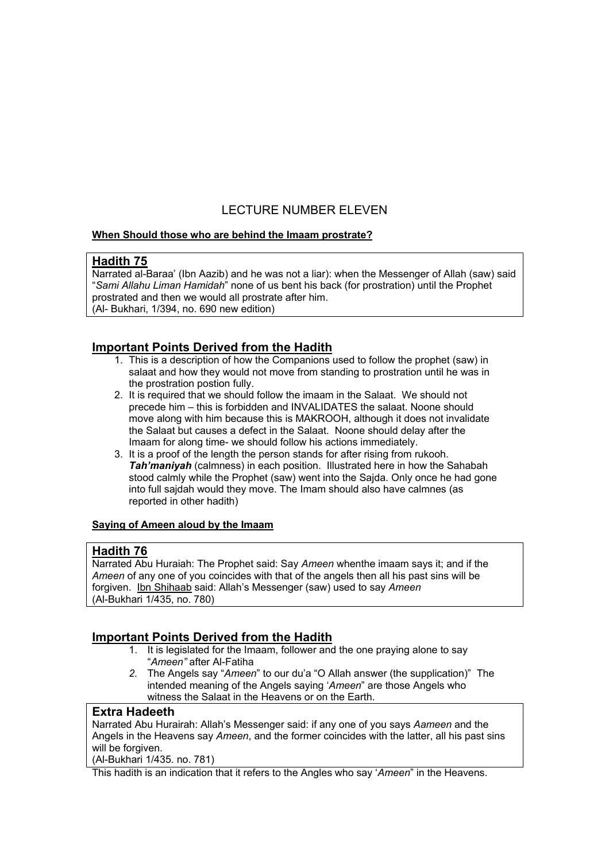# LECTURE NUMBER ELEVEN

# **When Should those who are behind the Imaam prostrate?**

# **Hadith 75**

Narrated al-Baraa' (Ibn Aazib) and he was not a liar): when the Messenger of Allah (saw) said "*Sami Allahu Liman Hamidah*" none of us bent his back (for prostration) until the Prophet prostrated and then we would all prostrate after him. (Al- Bukhari, 1/394, no. 690 new edition)

# **Important Points Derived from the Hadith**

- 1. This is a description of how the Companions used to follow the prophet (saw) in salaat and how they would not move from standing to prostration until he was in the prostration postion fully.
- 2. It is required that we should follow the imaam in the Salaat. We should not precede him – this is forbidden and INVALIDATES the salaat. Noone should move along with him because this is MAKROOH, although it does not invalidate the Salaat but causes a defect in the Salaat. Noone should delay after the Imaam for along time- we should follow his actions immediately.
- 3. It is a proof of the length the person stands for after rising from rukooh. *Tah'maniyah* (calmness) in each position. Illustrated here in how the Sahabah stood calmly while the Prophet (saw) went into the Sajda. Only once he had gone into full sajdah would they move. The Imam should also have calmnes (as reported in other hadith)

# **Saying of Ameen aloud by the Imaam**

# **Hadith 76**

Narrated Abu Huraiah: The Prophet said: Say *Ameen* whenthe imaam says it; and if the *Ameen* of any one of you coincides with that of the angels then all his past sins will be forgiven. Ibn Shihaab said: Allah's Messenger (saw) used to say *Ameen* (Al-Bukhari 1/435, no. 780)

# **Important Points Derived from the Hadith**

- 1. It is legislated for the Imaam, follower and the one praying alone to say "*Ameen"* after Al-Fatiha
- *2.* The Angels say "*Ameen*" to our du'a "O Allah answer (the supplication)" The intended meaning of the Angels saying '*Ameen*" are those Angels who witness the Salaat in the Heavens or on the Earth.

# **Extra Hadeeth**

Narrated Abu Hurairah: Allah's Messenger said: if any one of you says *Aameen* and the Angels in the Heavens say *Ameen*, and the former coincides with the latter, all his past sins will be forgiven.

(Al-Bukhari 1/435. no. 781)

This hadith is an indication that it refers to the Angles who say '*Ameen*" in the Heavens.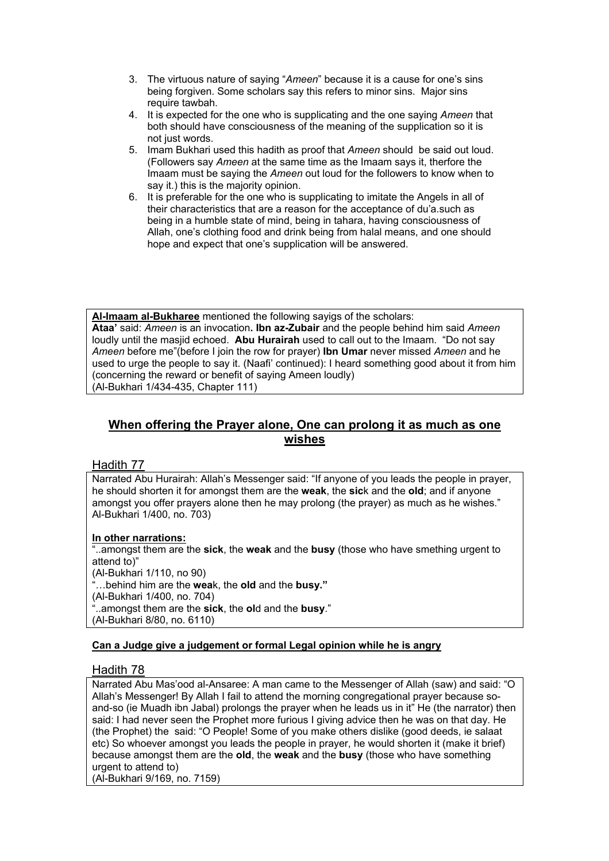- 3. The virtuous nature of saying "*Ameen*" because it is a cause for one's sins being forgiven. Some scholars say this refers to minor sins. Major sins require tawbah.
- 4. It is expected for the one who is supplicating and the one saying *Ameen* that both should have consciousness of the meaning of the supplication so it is not just words.
- 5. Imam Bukhari used this hadith as proof that *Ameen* should be said out loud. (Followers say *Ameen* at the same time as the Imaam says it, therfore the Imaam must be saying the *Ameen* out loud for the followers to know when to say it.) this is the majority opinion.
- 6. It is preferable for the one who is supplicating to imitate the Angels in all of their characteristics that are a reason for the acceptance of du'a.such as being in a humble state of mind, being in tahara, having consciousness of Allah, one's clothing food and drink being from halal means, and one should hope and expect that one's supplication will be answered.

**Al-Imaam al-Bukharee** mentioned the following sayigs of the scholars: **Ataa'** said: *Ameen* is an invocation**. Ibn az-Zubair** and the people behind him said *Ameen* loudly until the masjid echoed. **Abu Hurairah** used to call out to the Imaam. "Do not say *Ameen* before me"(before I join the row for prayer) **Ibn Umar** never missed *Ameen* and he used to urge the people to say it. (Naafi' continued): I heard something good about it from him (concerning the reward or benefit of saying Ameen loudly) (Al-Bukhari 1/434-435, Chapter 111)

# **When offering the Prayer alone, One can prolong it as much as one wishes**

# Hadith 77

Narrated Abu Hurairah: Allah's Messenger said: "If anyone of you leads the people in prayer, he should shorten it for amongst them are the **weak**, the **sic**k and the **old**; and if anyone amongst you offer prayers alone then he may prolong (the prayer) as much as he wishes." Al-Bukhari 1/400, no. 703)

# **In other narrations:**

"..amongst them are the **sick**, the **weak** and the **busy** (those who have smething urgent to attend to)" (Al-Bukhari 1/110, no 90) "…behind him are the **wea**k, the **old** and the **busy."** (Al-Bukhari 1/400, no. 704) "..amongst them are the **sick**, the **ol**d and the **busy**." (Al-Bukhari 8/80, no. 6110)

# **Can a Judge give a judgement or formal Legal opinion while he is angry**

# Hadith 78

Narrated Abu Mas'ood al-Ansaree: A man came to the Messenger of Allah (saw) and said: "O Allah's Messenger! By Allah I fail to attend the morning congregational prayer because soand-so (ie Muadh ibn Jabal) prolongs the prayer when he leads us in it" He (the narrator) then said: I had never seen the Prophet more furious I giving advice then he was on that day. He (the Prophet) the said: "O People! Some of you make others dislike (good deeds, ie salaat etc) So whoever amongst you leads the people in prayer, he would shorten it (make it brief) because amongst them are the **old**, the **weak** and the **busy** (those who have something urgent to attend to)

(Al-Bukhari 9/169, no. 7159)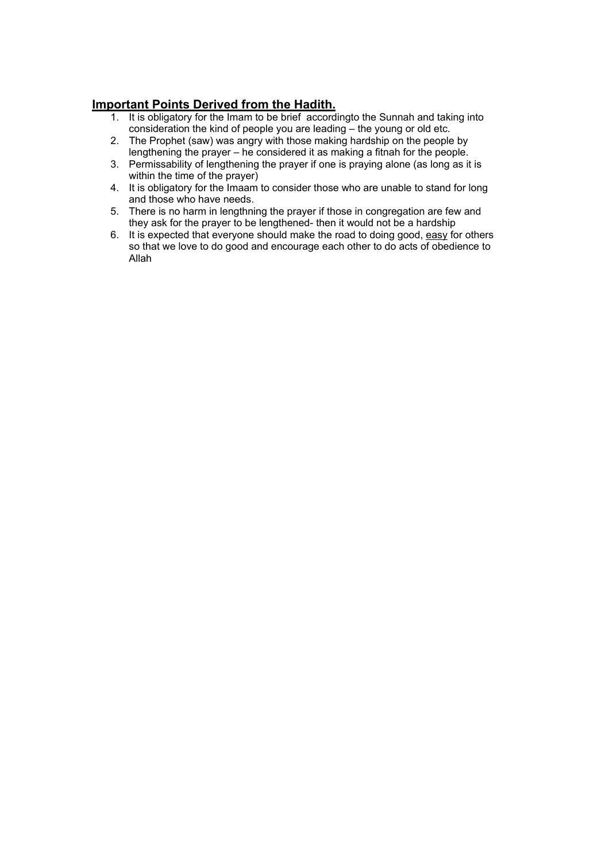- 1. It is obligatory for the Imam to be brief accordingto the Sunnah and taking into consideration the kind of people you are leading – the young or old etc.
- 2. The Prophet (saw) was angry with those making hardship on the people by lengthening the prayer – he considered it as making a fitnah for the people.
- 3. Permissability of lengthening the prayer if one is praying alone (as long as it is within the time of the prayer)
- 4. It is obligatory for the Imaam to consider those who are unable to stand for long and those who have needs.
- 5. There is no harm in lengthning the prayer if those in congregation are few and they ask for the prayer to be lengthened- then it would not be a hardship
- 6. It is expected that everyone should make the road to doing good, easy for others so that we love to do good and encourage each other to do acts of obedience to Allah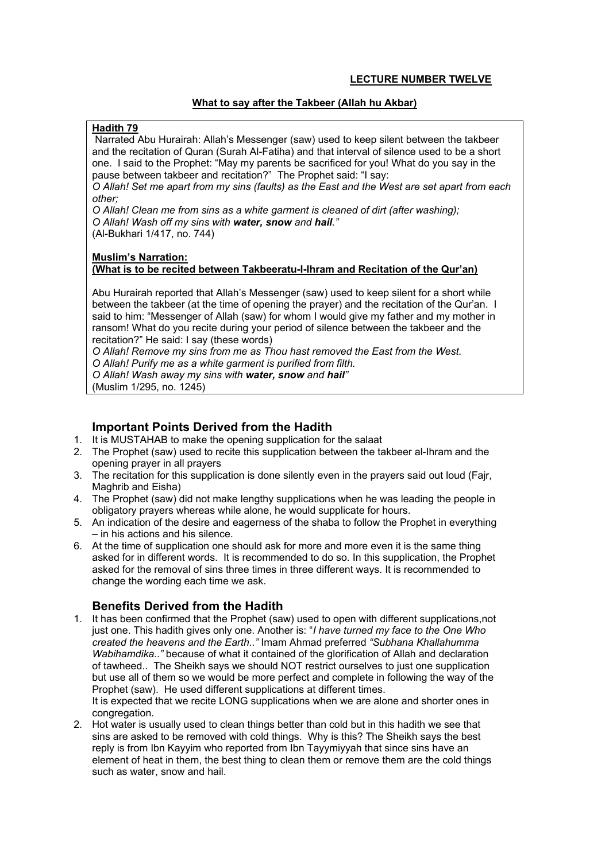# **What to say after the Takbeer (Allah hu Akbar)**

# **Hadith 79**

 Narrated Abu Hurairah: Allah's Messenger (saw) used to keep silent between the takbeer and the recitation of Quran (Surah Al-Fatiha) and that interval of silence used to be a short one. I said to the Prophet: "May my parents be sacrificed for you! What do you say in the pause between takbeer and recitation?" The Prophet said: "I say:

*O Allah! Set me apart from my sins (faults) as the East and the West are set apart from each other;* 

*O Allah! Clean me from sins as a white garment is cleaned of dirt (after washing); O Allah! Wash off my sins with water, snow and hail."*  (Al-Bukhari 1/417, no. 744)

# **Muslim's Narration:**

# **(What is to be recited between Takbeeratu-l-Ihram and Recitation of the Qur'an)**

Abu Hurairah reported that Allah's Messenger (saw) used to keep silent for a short while between the takbeer (at the time of opening the prayer) and the recitation of the Qur'an. I said to him: "Messenger of Allah (saw) for whom I would give my father and my mother in ransom! What do you recite during your period of silence between the takbeer and the recitation?" He said: I say (these words)

*O Allah! Remove my sins from me as Thou hast removed the East from the West. O Allah! Purify me as a white garment is purified from filth.* 

*O Allah! Wash away my sins with water, snow and hail"* 

(Muslim 1/295, no. 1245)

# **Important Points Derived from the Hadith**

- 1. It is MUSTAHAB to make the opening supplication for the salaat
- 2. The Prophet (saw) used to recite this supplication between the takbeer al-Ihram and the opening prayer in all prayers
- 3. The recitation for this supplication is done silently even in the prayers said out loud (Fajr, Maghrib and Eisha)
- 4. The Prophet (saw) did not make lengthy supplications when he was leading the people in obligatory prayers whereas while alone, he would supplicate for hours.
- 5. An indication of the desire and eagerness of the shaba to follow the Prophet in everything – in his actions and his silence.
- 6. At the time of supplication one should ask for more and more even it is the same thing asked for in different words. It is recommended to do so. In this supplication, the Prophet asked for the removal of sins three times in three different ways. It is recommended to change the wording each time we ask.

# **Benefits Derived from the Hadith**

1. It has been confirmed that the Prophet (saw) used to open with different supplications,not just one. This hadith gives only one. Another is: "*I have turned my face to the One Who created the heavens and the Earth.."* Imam Ahmad preferred *"Subhana Khallahumma Wabihamdika.."* because of what it contained of the glorification of Allah and declaration of tawheed.. The Sheikh says we should NOT restrict ourselves to just one supplication but use all of them so we would be more perfect and complete in following the way of the Prophet (saw). He used different supplications at different times.

It is expected that we recite LONG supplications when we are alone and shorter ones in congregation.

2. Hot water is usually used to clean things better than cold but in this hadith we see that sins are asked to be removed with cold things. Why is this? The Sheikh says the best reply is from Ibn Kayyim who reported from Ibn Tayymiyyah that since sins have an element of heat in them, the best thing to clean them or remove them are the cold things such as water, snow and hail.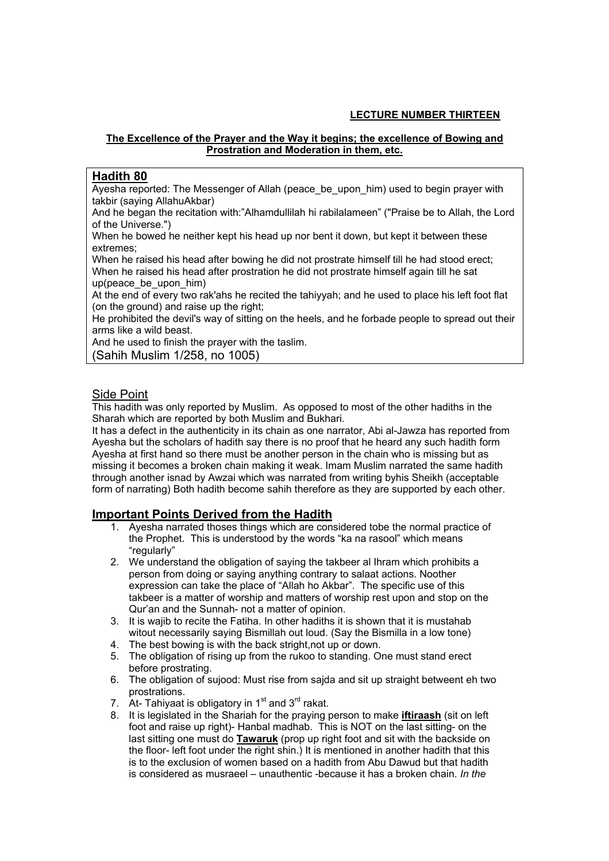# **LECTURE NUMBER THIRTEEN**

# **The Excellence of the Prayer and the Way it begins; the excellence of Bowing and Prostration and Moderation in them, etc.**

# **Hadith 80**

Ayesha reported: The Messenger of Allah (peace\_be\_upon\_him) used to begin prayer with takbir (saying AllahuAkbar)

And he began the recitation with:"Alhamdullilah hi rabilalameen" ("Praise be to Allah, the Lord of the Universe.")

When he bowed he neither kept his head up nor bent it down, but kept it between these extremes;

When he raised his head after bowing he did not prostrate himself till he had stood erect; When he raised his head after prostration he did not prostrate himself again till he sat up(peace\_be\_upon\_him)

At the end of every two rak'ahs he recited the tahiyyah; and he used to place his left foot flat (on the ground) and raise up the right;

He prohibited the devil's way of sitting on the heels, and he forbade people to spread out their arms like a wild beast.

And he used to finish the prayer with the taslim.

(Sahih Muslim 1/258, no 1005)

# Side Point

This hadith was only reported by Muslim. As opposed to most of the other hadiths in the Sharah which are reported by both Muslim and Bukhari.

It has a defect in the authenticity in its chain as one narrator, Abi al-Jawza has reported from Ayesha but the scholars of hadith say there is no proof that he heard any such hadith form Ayesha at first hand so there must be another person in the chain who is missing but as missing it becomes a broken chain making it weak. Imam Muslim narrated the same hadith through another isnad by Awzai which was narrated from writing byhis Sheikh (acceptable form of narrating) Both hadith become sahih therefore as they are supported by each other.

- 1. Ayesha narrated thoses things which are considered tobe the normal practice of the Prophet. This is understood by the words "ka na rasool" which means "regularly"
- 2. We understand the obligation of saying the takbeer al Ihram which prohibits a person from doing or saying anything contrary to salaat actions. Noother expression can take the place of "Allah ho Akbar". The specific use of this takbeer is a matter of worship and matters of worship rest upon and stop on the Qur'an and the Sunnah- not a matter of opinion.
- 3. It is wajib to recite the Fatiha. In other hadiths it is shown that it is mustahab witout necessarily saying Bismillah out loud. (Say the Bismilla in a low tone)
- 4. The best bowing is with the back stright,not up or down.
- 5. The obligation of rising up from the rukoo to standing. One must stand erect before prostrating.
- 6. The obligation of sujood: Must rise from sajda and sit up straight betweent eh two prostrations.
- 7. At-Tahiyaat is obligatory in  $1<sup>st</sup>$  and  $3<sup>rd</sup>$  rakat.
- 8. It is legislated in the Shariah for the praying person to make **iftiraash** (sit on left foot and raise up right)- Hanbal madhab. This is NOT on the last sitting- on the last sitting one must do **Tawaruk** (prop up right foot and sit with the backside on the floor- left foot under the right shin.) It is mentioned in another hadith that this is to the exclusion of women based on a hadith from Abu Dawud but that hadith is considered as musraeel – unauthentic -because it has a broken chain. *In the*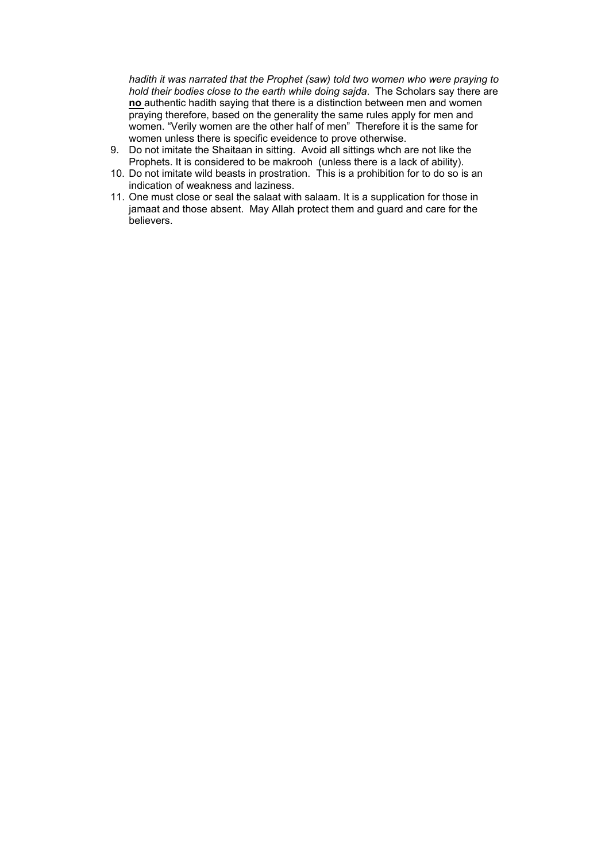*hadith it was narrated that the Prophet (saw) told two women who were praying to hold their bodies close to the earth while doing sajda*. The Scholars say there are **no** authentic hadith saying that there is a distinction between men and women praying therefore, based on the generality the same rules apply for men and women. "Verily women are the other half of men" Therefore it is the same for women unless there is specific eveidence to prove otherwise.

- 9. Do not imitate the Shaitaan in sitting. Avoid all sittings whch are not like the Prophets. It is considered to be makrooh (unless there is a lack of ability).
- 10. Do not imitate wild beasts in prostration. This is a prohibition for to do so is an indication of weakness and laziness.
- 11. One must close or seal the salaat with salaam. It is a supplication for those in jamaat and those absent. May Allah protect them and guard and care for the believers.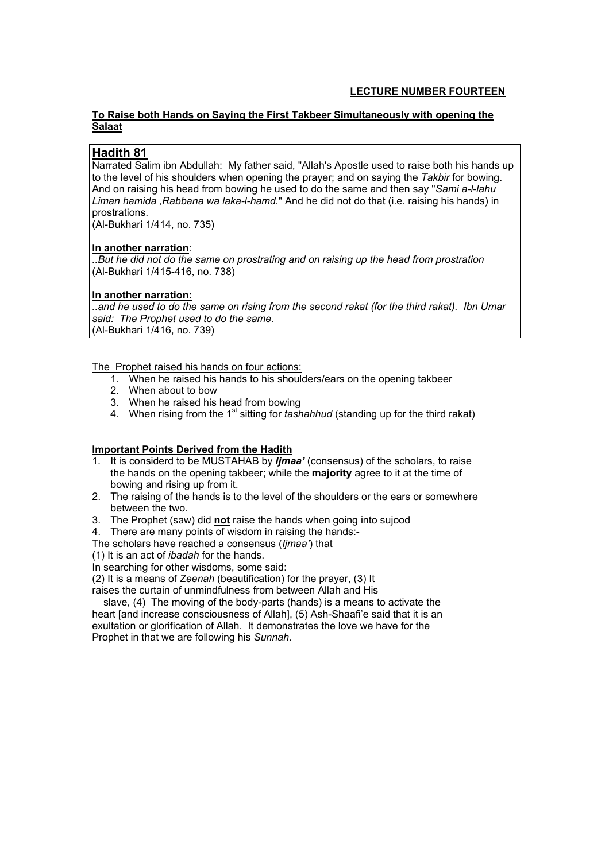# **LECTURE NUMBER FOURTEEN**

# **To Raise both Hands on Saying the First Takbeer Simultaneously with opening the Salaat**

# **Hadith 81**

Narrated Salim ibn Abdullah: My father said, "Allah's Apostle used to raise both his hands up to the level of his shoulders when opening the prayer; and on saying the *Takbir* for bowing. And on raising his head from bowing he used to do the same and then say "*Sami a-l-lahu Liman hamida* ,*Rabbana wa laka-l-hamd.*" And he did not do that (i.e. raising his hands) in prostrations.

(Al-Bukhari 1/414, no. 735)

# **In another narration**:

*..But he did not do the same on prostrating and on raising up the head from prostration*  (Al-Bukhari 1/415-416, no. 738)

# **In another narration:**

*..and he used to do the same on rising from the second rakat (for the third rakat). Ibn Umar said: The Prophet used to do the same.*  (Al-Bukhari 1/416, no. 739)

The Prophet raised his hands on four actions:

- 1. When he raised his hands to his shoulders/ears on the opening takbeer
- 2. When about to bow
- 3. When he raised his head from bowing
- 4. When rising from the 1<sup>st</sup> sitting for *tashahhud* (standing up for the third rakat)

# **Important Points Derived from the Hadith**

- 1. It is considerd to be MUSTAHAB by *Ijmaa'* (consensus) of the scholars, to raise the hands on the opening takbeer; while the **majority** agree to it at the time of bowing and rising up from it.
- 2. The raising of the hands is to the level of the shoulders or the ears or somewhere between the two.
- 3. The Prophet (saw) did **not** raise the hands when going into sujood
- 4. There are many points of wisdom in raising the hands:-

The scholars have reached a consensus (*Ijmaa'*) that

(1) It is an act of *ibadah* for the hands.

In searching for other wisdoms, some said:

(2) It is a means of *Zeenah* (beautification) for the prayer, (3) It

raises the curtain of unmindfulness from between Allah and His

 slave, (4) The moving of the body-parts (hands) is a means to activate the heart [and increase consciousness of Allah], (5) Ash-Shaafi'e said that it is an exultation or glorification of Allah. It demonstrates the love we have for the Prophet in that we are following his *Sunnah*.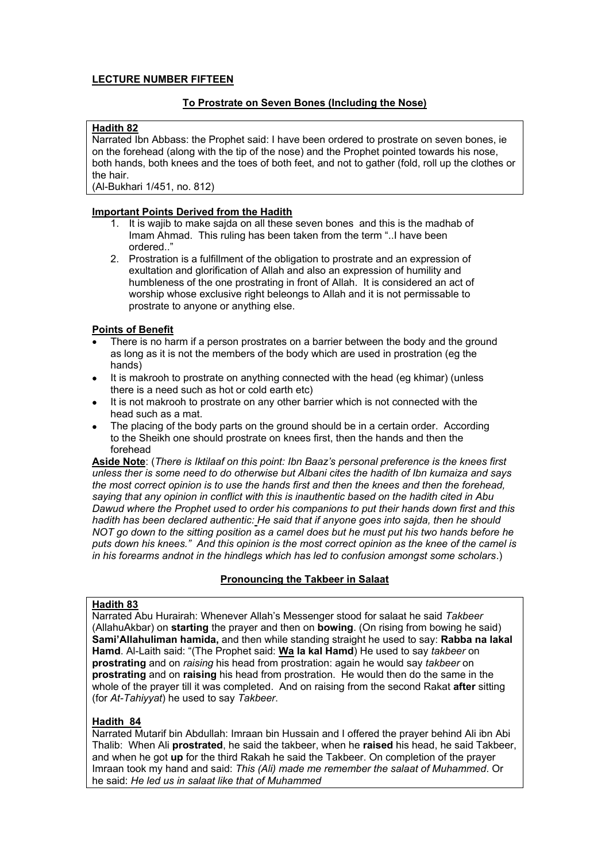# **LECTURE NUMBER FIFTEEN**

# **To Prostrate on Seven Bones (Including the Nose)**

## **Hadith 82**

Narrated Ibn Abbass: the Prophet said: I have been ordered to prostrate on seven bones, ie on the forehead (along with the tip of the nose) and the Prophet pointed towards his nose, both hands, both knees and the toes of both feet, and not to gather (fold, roll up the clothes or the hair.

(Al-Bukhari 1/451, no. 812)

# **Important Points Derived from the Hadith**

- 1. It is wajib to make sajda on all these seven bones and this is the madhab of Imam Ahmad. This ruling has been taken from the term "..I have been ordered.."
- 2. Prostration is a fulfillment of the obligation to prostrate and an expression of exultation and glorification of Allah and also an expression of humility and humbleness of the one prostrating in front of Allah. It is considered an act of worship whose exclusive right beleongs to Allah and it is not permissable to prostrate to anyone or anything else.

# **Points of Benefit**

- There is no harm if a person prostrates on a barrier between the body and the ground as long as it is not the members of the body which are used in prostration (eg the hands)
- It is makrooh to prostrate on anything connected with the head (eg khimar) (unless there is a need such as hot or cold earth etc)
- It is not makrooh to prostrate on any other barrier which is not connected with the head such as a mat.
- The placing of the body parts on the ground should be in a certain order. According to the Sheikh one should prostrate on knees first, then the hands and then the forehead

**Aside Note**: (*There is Iktilaaf on this point: Ibn Baaz's personal preference is the knees first unless ther is some need to do otherwise but Albani cites the hadith of Ibn kumaiza and says the most correct opinion is to use the hands first and then the knees and then the forehead, saying that any opinion in conflict with this is inauthentic based on the hadith cited in Abu Dawud where the Prophet used to order his companions to put their hands down first and this hadith has been declared authentic: He said that if anyone goes into sajda, then he should NOT go down to the sitting position as a camel does but he must put his two hands before he puts down his knees." And this opinion is the most correct opinion as the knee of the camel is in his forearms andnot in the hindlegs which has led to confusion amongst some scholars*.)

# **Pronouncing the Takbeer in Salaat**

#### **Hadith 83**

Narrated Abu Hurairah: Whenever Allah's Messenger stood for salaat he said *Takbeer* (AllahuAkbar) on **starting** the prayer and then on **bowing**. (On rising from bowing he said) **Sami'Allahuliman hamida,** and then while standing straight he used to say: **Rabba na lakal Hamd**. Al-Laith said: "(The Prophet said: **Wa la kal Hamd**) He used to say *takbeer* on **prostrating** and on *raising* his head from prostration: again he would say *takbeer* on **prostrating** and on **raising** his head from prostration. He would then do the same in the whole of the prayer till it was completed. And on raising from the second Rakat **after** sitting (for *At-Tahiyyat*) he used to say *Takbeer*.

## **Hadith 84**

Narrated Mutarif bin Abdullah: Imraan bin Hussain and I offered the prayer behind Ali ibn Abi Thalib: When Ali **prostrated**, he said the takbeer, when he **raised** his head, he said Takbeer, and when he got **up** for the third Rakah he said the Takbeer. On completion of the prayer Imraan took my hand and said: *This (Ali) made me remember the salaat of Muhammed*. Or he said: *He led us in salaat like that of Muhammed*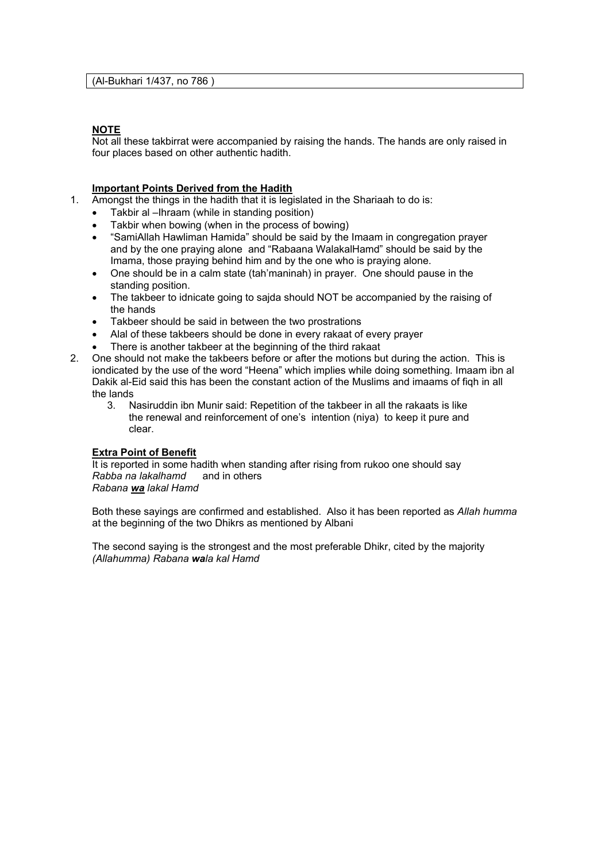## **NOTE**

Not all these takbirrat were accompanied by raising the hands. The hands are only raised in four places based on other authentic hadith.

#### **Important Points Derived from the Hadith**

- 1. Amongst the things in the hadith that it is legislated in the Shariaah to do is:
	- Takbir al –Ihraam (while in standing position)
	- Takbir when bowing (when in the process of bowing)
	- "SamiAllah Hawliman Hamida" should be said by the Imaam in congregation prayer and by the one praying alone and "Rabaana WalakalHamd" should be said by the Imama, those praying behind him and by the one who is praying alone.
	- One should be in a calm state (tah'maninah) in prayer. One should pause in the standing position.
	- The takbeer to idnicate going to sajda should NOT be accompanied by the raising of the hands
	- Takbeer should be said in between the two prostrations
	- Alal of these takbeers should be done in every rakaat of every prayer
	- There is another takbeer at the beginning of the third rakaat
- 2. One should not make the takbeers before or after the motions but during the action. This is iondicated by the use of the word "Heena" which implies while doing something. Imaam ibn al Dakik al-Eid said this has been the constant action of the Muslims and imaams of fiqh in all the lands
	- 3. Nasiruddin ibn Munir said: Repetition of the takbeer in all the rakaats is like the renewal and reinforcement of one's intention (niya) to keep it pure and clear.

## **Extra Point of Benefit**

It is reported in some hadith when standing after rising from rukoo one should say *Rabba na lakalhamd* and in others *Rabana wa lakal Hamd* 

Both these sayings are confirmed and established. Also it has been reported as *Allah humma* at the beginning of the two Dhikrs as mentioned by Albani

The second saying is the strongest and the most preferable Dhikr, cited by the majority *(Allahumma) Rabana wala kal Hamd*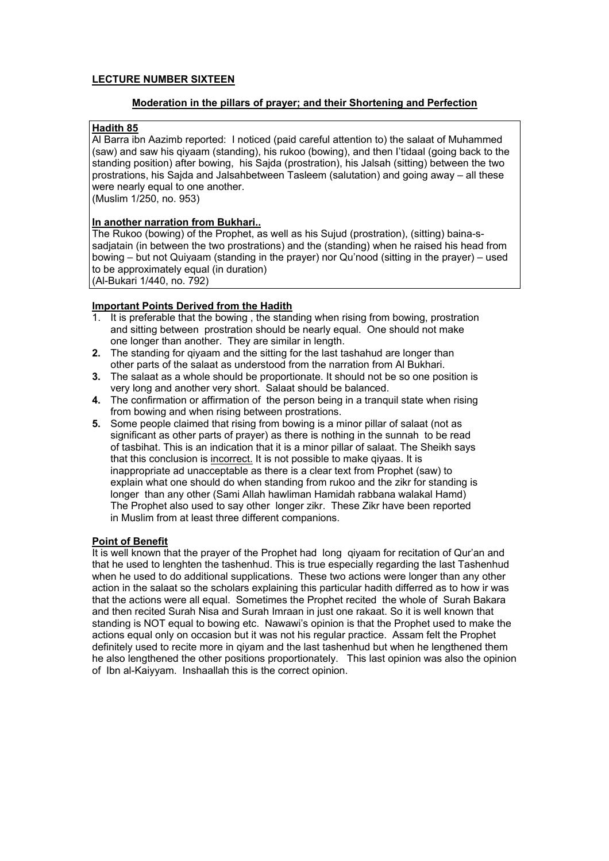# **LECTURE NUMBER SIXTEEN**

# **Moderation in the pillars of prayer; and their Shortening and Perfection**

## **Hadith 85**

Al Barra ibn Aazimb reported: I noticed (paid careful attention to) the salaat of Muhammed (saw) and saw his qiyaam (standing), his rukoo (bowing), and then I'tidaal (going back to the standing position) after bowing, his Sajda (prostration), his Jalsah (sitting) between the two prostrations, his Sajda and Jalsahbetween Tasleem (salutation) and going away – all these were nearly equal to one another.

(Muslim 1/250, no. 953)

# **In another narration from Bukhari..**

The Rukoo (bowing) of the Prophet, as well as his Sujud (prostration), (sitting) baina-ssadjatain (in between the two prostrations) and the (standing) when he raised his head from bowing – but not Quiyaam (standing in the prayer) nor Qu'nood (sitting in the prayer) – used to be approximately equal (in duration)

(Al-Bukari 1/440, no. 792)

#### **Important Points Derived from the Hadith**

- 1. It is preferable that the bowing , the standing when rising from bowing, prostration and sitting between prostration should be nearly equal. One should not make one longer than another. They are similar in length.
- **2.** The standing for qiyaam and the sitting for the last tashahud are longer than other parts of the salaat as understood from the narration from Al Bukhari.
- **3.** The salaat as a whole should be proportionate. It should not be so one position is very long and another very short. Salaat should be balanced.
- **4.** The confirmation or affirmation of the person being in a tranquil state when rising from bowing and when rising between prostrations.
- **5.** Some people claimed that rising from bowing is a minor pillar of salaat (not as significant as other parts of prayer) as there is nothing in the sunnah to be read of tasbihat. This is an indication that it is a minor pillar of salaat. The Sheikh says that this conclusion is incorrect. It is not possible to make qiyaas. It is inappropriate ad unacceptable as there is a clear text from Prophet (saw) to explain what one should do when standing from rukoo and the zikr for standing is longer than any other (Sami Allah hawliman Hamidah rabbana walakal Hamd) The Prophet also used to say other longer zikr. These Zikr have been reported in Muslim from at least three different companions.

#### **Point of Benefit**

It is well known that the prayer of the Prophet had long qiyaam for recitation of Qur'an and that he used to lenghten the tashenhud. This is true especially regarding the last Tashenhud when he used to do additional supplications. These two actions were longer than any other action in the salaat so the scholars explaining this particular hadith differred as to how ir was that the actions were all equal. Sometimes the Prophet recited the whole of Surah Bakara and then recited Surah Nisa and Surah Imraan in just one rakaat. So it is well known that standing is NOT equal to bowing etc. Nawawi's opinion is that the Prophet used to make the actions equal only on occasion but it was not his regular practice. Assam felt the Prophet definitely used to recite more in qiyam and the last tashenhud but when he lengthened them he also lengthened the other positions proportionately. This last opinion was also the opinion of Ibn al-Kaiyyam. Inshaallah this is the correct opinion.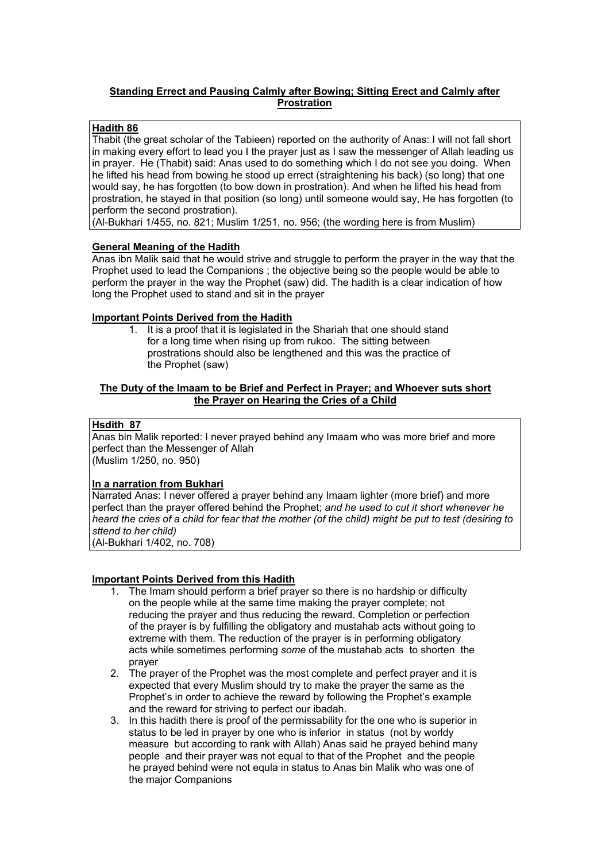# **Standing Errect and Pausing Calmly after Bowing; Sitting Erect and Calmly after Prostration**

## **Hadith 86**

Thabit (the great scholar of the Tabieen) reported on the authority of Anas: I will not fall short in making every effort to lead you I the prayer just as I saw the messenger of Allah leading us in prayer. He (Thabit) said: Anas used to do something which I do not see you doing. When he lifted his head from bowing he stood up errect (straightening his back) (so long) that one would say, he has forgotten (to bow down in prostration). And when he lifted his head from prostration, he stayed in that position (so long) until someone would say, He has forgotten (to perform the second prostration).

(Al-Bukhari 1/455, no. 821; Muslim 1/251, no. 956; (the wording here is from Muslim)

# **General Meaning of the Hadith**

Anas ibn Malik said that he would strive and struggle to perform the prayer in the way that the Prophet used to lead the Companions ; the objective being so the people would be able to perform the prayer in the way the Prophet (saw) did. The hadith is a clear indication of how long the Prophet used to stand and sit in the prayer

#### **Important Points Derived from the Hadith**

1. It is a proof that it is legislated in the Shariah that one should stand for a long time when rising up from rukoo. The sitting between prostrations should also be lengthened and this was the practice of the Prophet (saw)

#### **The Duty of the Imaam to be Brief and Perfect in Prayer; and Whoever suts short the Prayer on Hearing the Cries of a Child**

#### **Hsdith 87**

Anas bin Malik reported: I never prayed behind any Imaam who was more brief and more perfect than the Messenger of Allah (Muslim 1/250, no. 950)

# **In a narration from Bukhari**

Narrated Anas: I never offered a prayer behind any Imaam lighter (more brief) and more perfect than the prayer offered behind the Prophet; *and he used to cut it short whenever he heard the cries of a child for fear that the mother (of the child) might be put to test (desiring to sttend to her child)* 

(Al-Bukhari 1/402, no. 708)

- 1. The Imam should perform a brief prayer so there is no hardship or difficulty on the people while at the same time making the prayer complete; not reducing the prayer and thus reducing the reward. Completion or perfection of the prayer is by fulfilling the obligatory and mustahab acts without going to extreme with them. The reduction of the prayer is in performing obligatory acts while sometimes performing *some* of the mustahab acts to shorten the prayer
- 2. The prayer of the Prophet was the most complete and perfect prayer and it is expected that every Muslim should try to make the prayer the same as the Prophet's in order to achieve the reward by following the Prophet's example and the reward for striving to perfect our ibadah.
- 3. In this hadith there is proof of the permissability for the one who is superior in status to be led in prayer by one who is inferior in status (not by worldy measure but according to rank with Allah) Anas said he prayed behind many people and their prayer was not equal to that of the Prophet and the people he prayed behind were not equla in status to Anas bin Malik who was one of the major Companions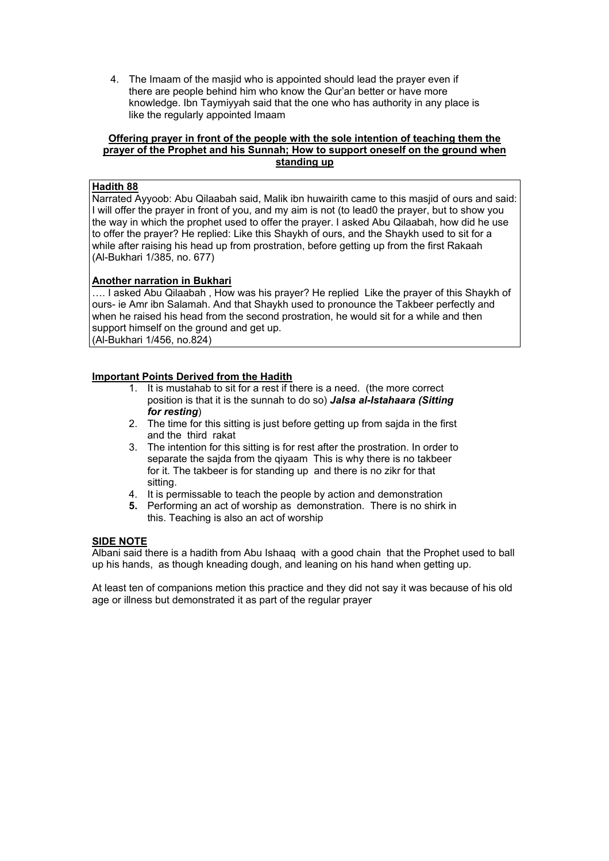4. The Imaam of the masjid who is appointed should lead the prayer even if there are people behind him who know the Qur'an better or have more knowledge. Ibn Taymiyyah said that the one who has authority in any place is like the regularly appointed Imaam

#### **Offering prayer in front of the people with the sole intention of teaching them the prayer of the Prophet and his Sunnah; How to support oneself on the ground when standing up**

# **Hadith 88**

Narrated Ayyoob: Abu Qilaabah said, Malik ibn huwairith came to this masjid of ours and said: I will offer the prayer in front of you, and my aim is not (to lead0 the prayer, but to show you the way in which the prophet used to offer the prayer. I asked Abu Qilaabah, how did he use to offer the prayer? He replied: Like this Shaykh of ours, and the Shaykh used to sit for a while after raising his head up from prostration, before getting up from the first Rakaah (Al-Bukhari 1/385, no. 677)

# **Another narration in Bukhari**

…. I asked Abu Qilaabah , How was his prayer? He replied Like the prayer of this Shaykh of ours- ie Amr ibn Salamah. And that Shaykh used to pronounce the Takbeer perfectly and when he raised his head from the second prostration, he would sit for a while and then support himself on the ground and get up. (Al-Bukhari 1/456, no.824)

# **Important Points Derived from the Hadith**

- 1. It is mustahab to sit for a rest if there is a need. (the more correct position is that it is the sunnah to do so) *Jalsa al-Istahaara (Sitting for resting*)
- 2. The time for this sitting is just before getting up from sajda in the first and the third rakat
- 3. The intention for this sitting is for rest after the prostration. In order to separate the sajda from the qiyaam This is why there is no takbeer for it. The takbeer is for standing up and there is no zikr for that sitting.
- 4. It is permissable to teach the people by action and demonstration
- **5.** Performing an act of worship as demonstration. There is no shirk in this. Teaching is also an act of worship

# **SIDE NOTE**

Albani said there is a hadith from Abu Ishaaq with a good chain that the Prophet used to ball up his hands, as though kneading dough, and leaning on his hand when getting up.

At least ten of companions metion this practice and they did not say it was because of his old age or illness but demonstrated it as part of the regular prayer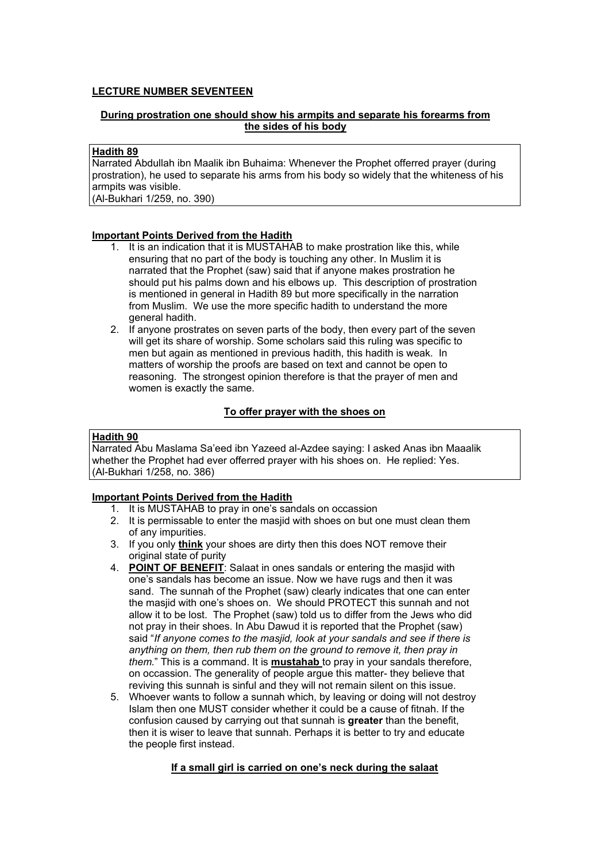# **LECTURE NUMBER SEVENTEEN**

# **During prostration one should show his armpits and separate his forearms from the sides of his body**

# **Hadith 89**

Narrated Abdullah ibn Maalik ibn Buhaima: Whenever the Prophet offerred prayer (during prostration), he used to separate his arms from his body so widely that the whiteness of his armpits was visible.

(Al-Bukhari 1/259, no. 390)

# **Important Points Derived from the Hadith**

- 1. It is an indication that it is MUSTAHAB to make prostration like this, while ensuring that no part of the body is touching any other. In Muslim it is narrated that the Prophet (saw) said that if anyone makes prostration he should put his palms down and his elbows up. This description of prostration is mentioned in general in Hadith 89 but more specifically in the narration from Muslim. We use the more specific hadith to understand the more general hadith.
- 2. If anyone prostrates on seven parts of the body, then every part of the seven will get its share of worship. Some scholars said this ruling was specific to men but again as mentioned in previous hadith, this hadith is weak. In matters of worship the proofs are based on text and cannot be open to reasoning. The strongest opinion therefore is that the prayer of men and women is exactly the same.

# **To offer prayer with the shoes on**

## **Hadith 90**

Narrated Abu Maslama Sa'eed ibn Yazeed al-Azdee saying: I asked Anas ibn Maaalik whether the Prophet had ever offerred prayer with his shoes on. He replied: Yes. (Al-Bukhari 1/258, no. 386)

# **Important Points Derived from the Hadith**

- 1. It is MUSTAHAB to pray in one's sandals on occassion
- 2. It is permissable to enter the masjid with shoes on but one must clean them of any impurities.
- 3. If you only **think** your shoes are dirty then this does NOT remove their original state of purity
- 4. **POINT OF BENEFIT**: Salaat in ones sandals or entering the masjid with one's sandals has become an issue. Now we have rugs and then it was sand. The sunnah of the Prophet (saw) clearly indicates that one can enter the masjid with one's shoes on. We should PROTECT this sunnah and not allow it to be lost. The Prophet (saw) told us to differ from the Jews who did not pray in their shoes. In Abu Dawud it is reported that the Prophet (saw) said "*If anyone comes to the masjid, look at your sandals and see if there is anything on them, then rub them on the ground to remove it, then pray in them.*" This is a command. It is **mustahab** to pray in your sandals therefore, on occassion. The generality of people argue this matter- they believe that reviving this sunnah is sinful and they will not remain silent on this issue.
- 5. Whoever wants to follow a sunnah which, by leaving or doing will not destroy Islam then one MUST consider whether it could be a cause of fitnah. If the confusion caused by carrying out that sunnah is **greater** than the benefit, then it is wiser to leave that sunnah. Perhaps it is better to try and educate the people first instead.

# **If a small girl is carried on one's neck during the salaat**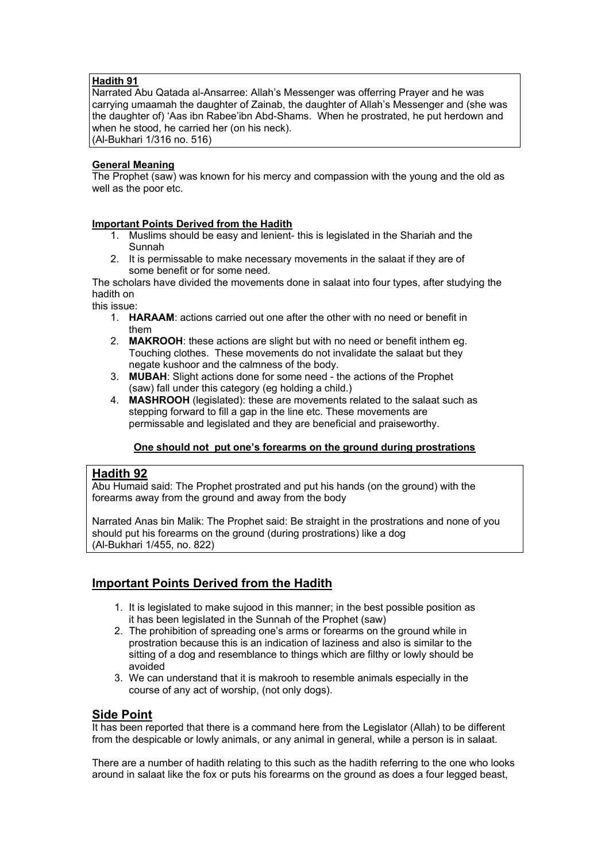# **Hadith 91**

Narrated Abu Qatada al-Ansarree: Allah's Messenger was offerring Prayer and he was carrying umaamah the daughter of Zainab, the daughter of Allah's Messenger and (she was the daughter of) 'Aas ibn Rabee'ibn Abd-Shams. When he prostrated, he put herdown and when he stood, he carried her (on his neck). (Al-Bukhari 1/316 no. 516)

# **General Meaning**

The Prophet (saw) was known for his mercy and compassion with the young and the old as well as the poor etc.

# **Important Points Derived from the Hadith**

- 1. Muslims should be easy and lenient- this is legislated in the Shariah and the Sunnah
- 2. It is permissable to make necessary movements in the salaat if they are of some benefit or for some need.

The scholars have divided the movements done in salaat into four types, after studying the hadith on

this issue:

- 1. **HARAAM**: actions carried out one after the other with no need or benefit in them
- 2. **MAKROOH**: these actions are slight but with no need or benefit inthem eg. Touching clothes. These movements do not invalidate the salaat but they negate kushoor and the calmness of the body.
- 3. **MUBAH**: Slight actions done for some need the actions of the Prophet (saw) fall under this category (eg holding a child.)
- 4. **MASHROOH** (legislated): these are movements related to the salaat such as stepping forward to fill a gap in the line etc. These movements are permissable and legislated and they are beneficial and praiseworthy.

# **One should not put one's forearms on the ground during prostrations**

# **Hadith 92**

Abu Humaid said: The Prophet prostrated and put his hands (on the ground) with the forearms away from the ground and away from the body

Narrated Anas bin Malik: The Prophet said: Be straight in the prostrations and none of you should put his forearms on the ground (during prostrations) like a dog (Al-Bukhari 1/455, no. 822)

# **Important Points Derived from the Hadith**

- 1. It is legislated to make sujood in this manner; in the best possible position as it has been legislated in the Sunnah of the Prophet (saw)
- 2. The prohibition of spreading one's arms or forearms on the ground while in prostration because this is an indication of laziness and also is similar to the sitting of a dog and resemblance to things which are filthy or lowly should be avoided
- 3. We can understand that it is makrooh to resemble animals especially in the course of any act of worship, (not only dogs).

# **Side Point**

It has been reported that there is a command here from the Legislator (Allah) to be different from the despicable or lowly animals, or any animal in general, while a person is in salaat.

There are a number of hadith relating to this such as the hadith referring to the one who looks around in salaat like the fox or puts his forearms on the ground as does a four legged beast,